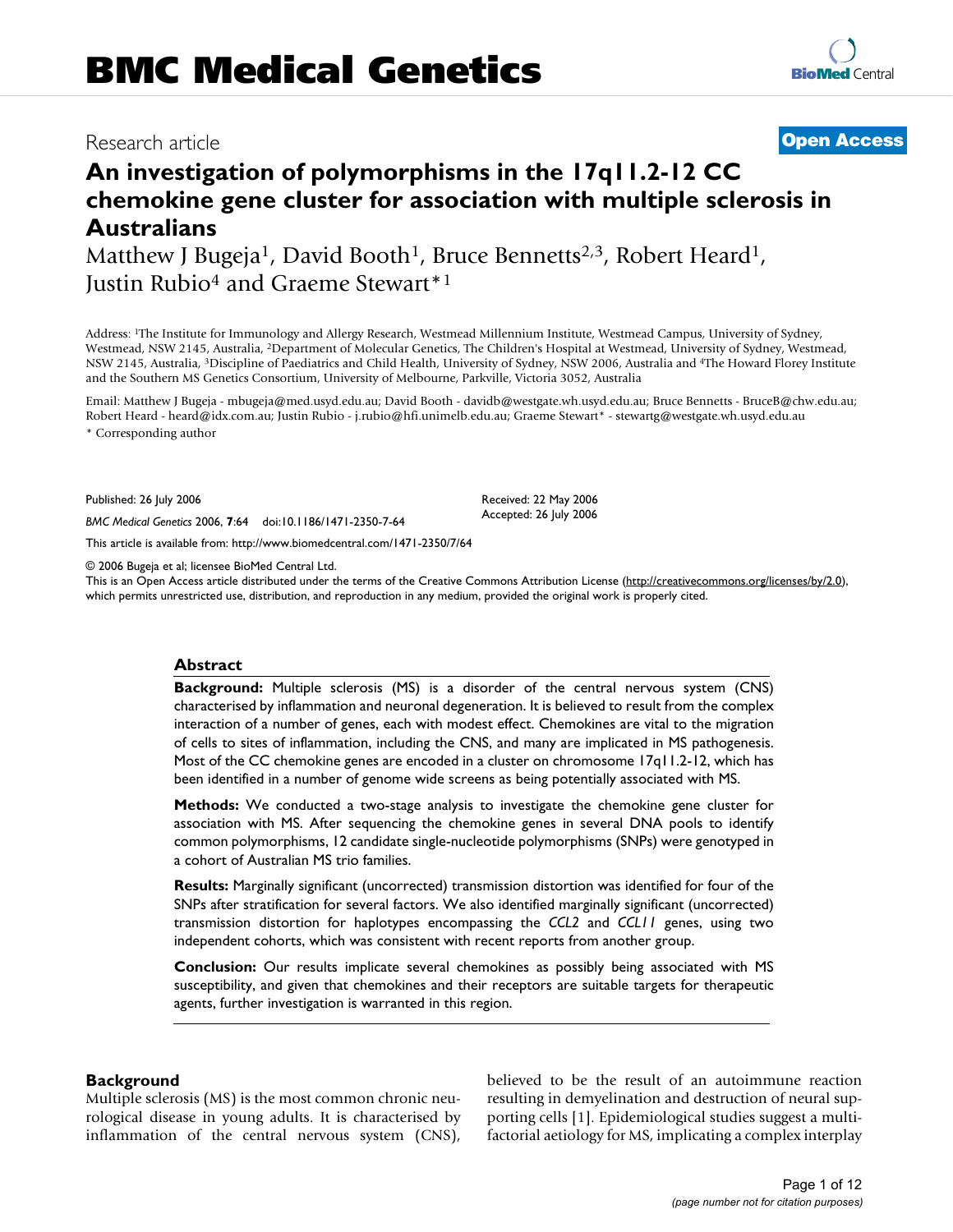# Research article **[Open Access](http://www.biomedcentral.com/info/about/charter/)**

# **An investigation of polymorphisms in the 17q11.2-12 CC chemokine gene cluster for association with multiple sclerosis in Australians**

Matthew J Bugeja<sup>1</sup>, David Booth<sup>1</sup>, Bruce Bennetts<sup>2,3</sup>, Robert Heard<sup>1</sup>, Justin Rubio<sup>4</sup> and Graeme Stewart<sup>\*1</sup>

Address: 1The Institute for Immunology and Allergy Research, Westmead Millennium Institute, Westmead Campus, University of Sydney, Westmead, NSW 2145, Australia, 2Department of Molecular Genetics, The Children's Hospital at Westmead, University of Sydney, Westmead, NSW 2145, Australia, 3Discipline of Paediatrics and Child Health, University of Sydney, NSW 2006, Australia and 4The Howard Florey Institute and the Southern MS Genetics Consortium, University of Melbourne, Parkville, Victoria 3052, Australia

Email: Matthew J Bugeja - mbugeja@med.usyd.edu.au; David Booth - davidb@westgate.wh.usyd.edu.au; Bruce Bennetts - BruceB@chw.edu.au; Robert Heard - heard@idx.com.au; Justin Rubio - j.rubio@hfi.unimelb.edu.au; Graeme Stewart\* - stewartg@westgate.wh.usyd.edu.au \* Corresponding author

> Received: 22 May 2006 Accepted: 26 July 2006

Published: 26 July 2006

*BMC Medical Genetics* 2006, **7**:64 doi:10.1186/1471-2350-7-64

[This article is available from: http://www.biomedcentral.com/1471-2350/7/64](http://www.biomedcentral.com/1471-2350/7/64)

© 2006 Bugeja et al; licensee BioMed Central Ltd.

This is an Open Access article distributed under the terms of the Creative Commons Attribution License [\(http://creativecommons.org/licenses/by/2.0\)](http://creativecommons.org/licenses/by/2.0), which permits unrestricted use, distribution, and reproduction in any medium, provided the original work is properly cited.

## **Abstract**

**Background:** Multiple sclerosis (MS) is a disorder of the central nervous system (CNS) characterised by inflammation and neuronal degeneration. It is believed to result from the complex interaction of a number of genes, each with modest effect. Chemokines are vital to the migration of cells to sites of inflammation, including the CNS, and many are implicated in MS pathogenesis. Most of the CC chemokine genes are encoded in a cluster on chromosome 17q11.2-12, which has been identified in a number of genome wide screens as being potentially associated with MS.

**Methods:** We conducted a two-stage analysis to investigate the chemokine gene cluster for association with MS. After sequencing the chemokine genes in several DNA pools to identify common polymorphisms, 12 candidate single-nucleotide polymorphisms (SNPs) were genotyped in a cohort of Australian MS trio families.

**Results:** Marginally significant (uncorrected) transmission distortion was identified for four of the SNPs after stratification for several factors. We also identified marginally significant (uncorrected) transmission distortion for haplotypes encompassing the *CCL2* and *CCL11* genes, using two independent cohorts, which was consistent with recent reports from another group.

**Conclusion:** Our results implicate several chemokines as possibly being associated with MS susceptibility, and given that chemokines and their receptors are suitable targets for therapeutic agents, further investigation is warranted in this region.

#### **Background**

Multiple sclerosis (MS) is the most common chronic neurological disease in young adults. It is characterised by inflammation of the central nervous system (CNS), believed to be the result of an autoimmune reaction resulting in demyelination and destruction of neural supporting cells [1]. Epidemiological studies suggest a multifactorial aetiology for MS, implicating a complex interplay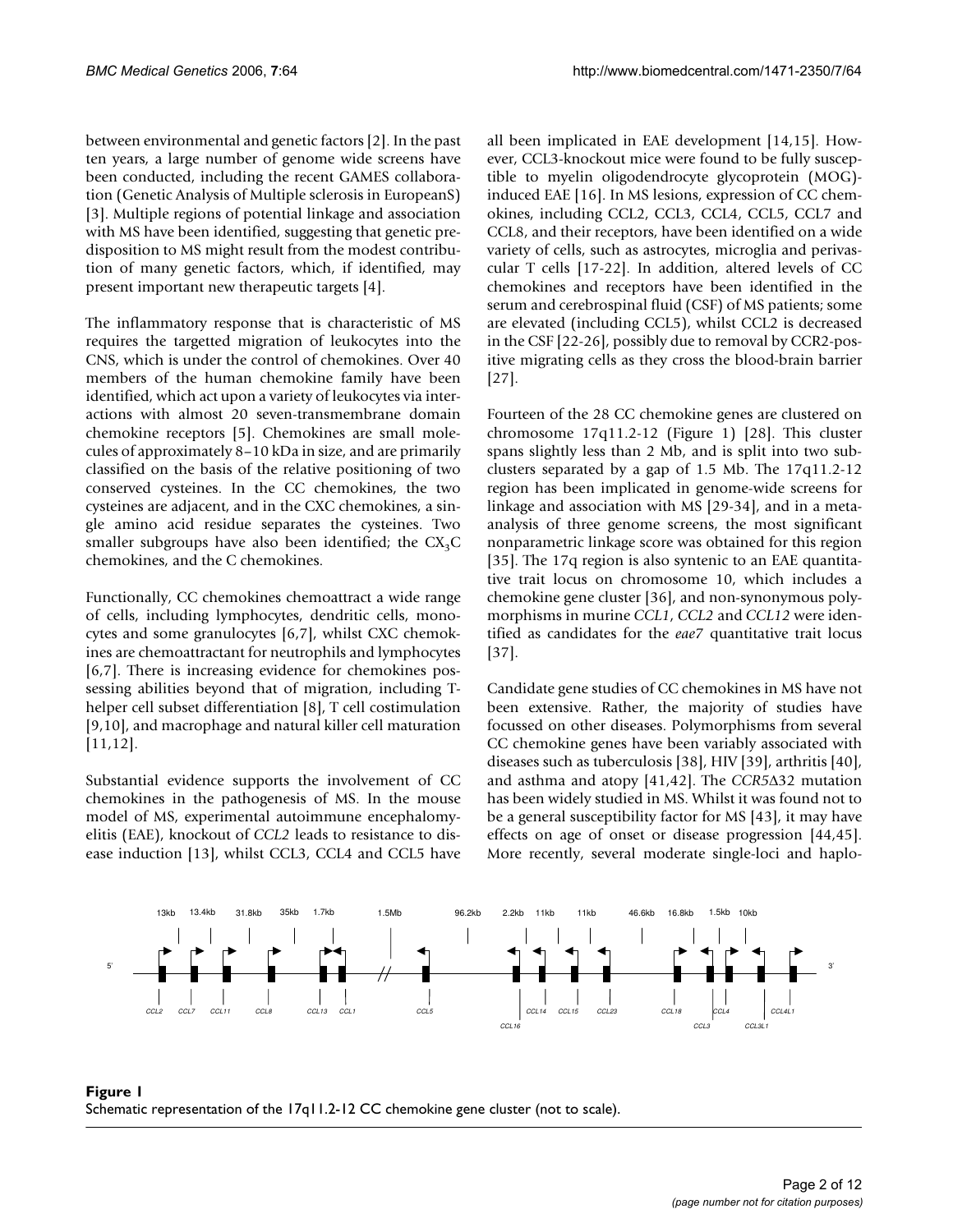between environmental and genetic factors [2]. In the past ten years, a large number of genome wide screens have been conducted, including the recent GAMES collaboration (Genetic Analysis of Multiple sclerosis in EuropeanS) [3]. Multiple regions of potential linkage and association with MS have been identified, suggesting that genetic predisposition to MS might result from the modest contribution of many genetic factors, which, if identified, may present important new therapeutic targets [4].

The inflammatory response that is characteristic of MS requires the targetted migration of leukocytes into the CNS, which is under the control of chemokines. Over 40 members of the human chemokine family have been identified, which act upon a variety of leukocytes via interactions with almost 20 seven-transmembrane domain chemokine receptors [5]. Chemokines are small molecules of approximately 8–10 kDa in size, and are primarily classified on the basis of the relative positioning of two conserved cysteines. In the CC chemokines, the two cysteines are adjacent, and in the CXC chemokines, a single amino acid residue separates the cysteines. Two smaller subgroups have also been identified; the  $CX<sub>3</sub>C$ chemokines, and the C chemokines.

Functionally, CC chemokines chemoattract a wide range of cells, including lymphocytes, dendritic cells, monocytes and some granulocytes [6,7], whilst CXC chemokines are chemoattractant for neutrophils and lymphocytes [6,7]. There is increasing evidence for chemokines possessing abilities beyond that of migration, including Thelper cell subset differentiation [8], T cell costimulation [9,10], and macrophage and natural killer cell maturation [11,12].

Substantial evidence supports the involvement of CC chemokines in the pathogenesis of MS. In the mouse model of MS, experimental autoimmune encephalomyelitis (EAE), knockout of *CCL2* leads to resistance to disease induction [13], whilst CCL3, CCL4 and CCL5 have all been implicated in EAE development [14,15]. However, CCL3-knockout mice were found to be fully susceptible to myelin oligodendrocyte glycoprotein (MOG) induced EAE [16]. In MS lesions, expression of CC chemokines, including CCL2, CCL3, CCL4, CCL5, CCL7 and CCL8, and their receptors, have been identified on a wide variety of cells, such as astrocytes, microglia and perivascular T cells [17-22]. In addition, altered levels of CC chemokines and receptors have been identified in the serum and cerebrospinal fluid (CSF) of MS patients; some are elevated (including CCL5), whilst CCL2 is decreased in the CSF [22-26], possibly due to removal by CCR2-positive migrating cells as they cross the blood-brain barrier [27].

Fourteen of the 28 CC chemokine genes are clustered on chromosome 17q11.2-12 (Figure 1) [28]. This cluster spans slightly less than 2 Mb, and is split into two subclusters separated by a gap of 1.5 Mb. The 17q11.2-12 region has been implicated in genome-wide screens for linkage and association with MS [29-34], and in a metaanalysis of three genome screens, the most significant nonparametric linkage score was obtained for this region [35]. The 17q region is also syntenic to an EAE quantitative trait locus on chromosome 10, which includes a chemokine gene cluster [36], and non-synonymous polymorphisms in murine *CCL1*, *CCL2* and *CCL12* were identified as candidates for the *eae7* quantitative trait locus [37].

Candidate gene studies of CC chemokines in MS have not been extensive. Rather, the majority of studies have focussed on other diseases. Polymorphisms from several CC chemokine genes have been variably associated with diseases such as tuberculosis [38], HIV [39], arthritis [40], and asthma and atopy [41,42]. The *CCR5*Δ32 mutation has been widely studied in MS. Whilst it was found not to be a general susceptibility factor for MS [43], it may have effects on age of onset or disease progression [44,45]. More recently, several moderate single-loci and haplo-



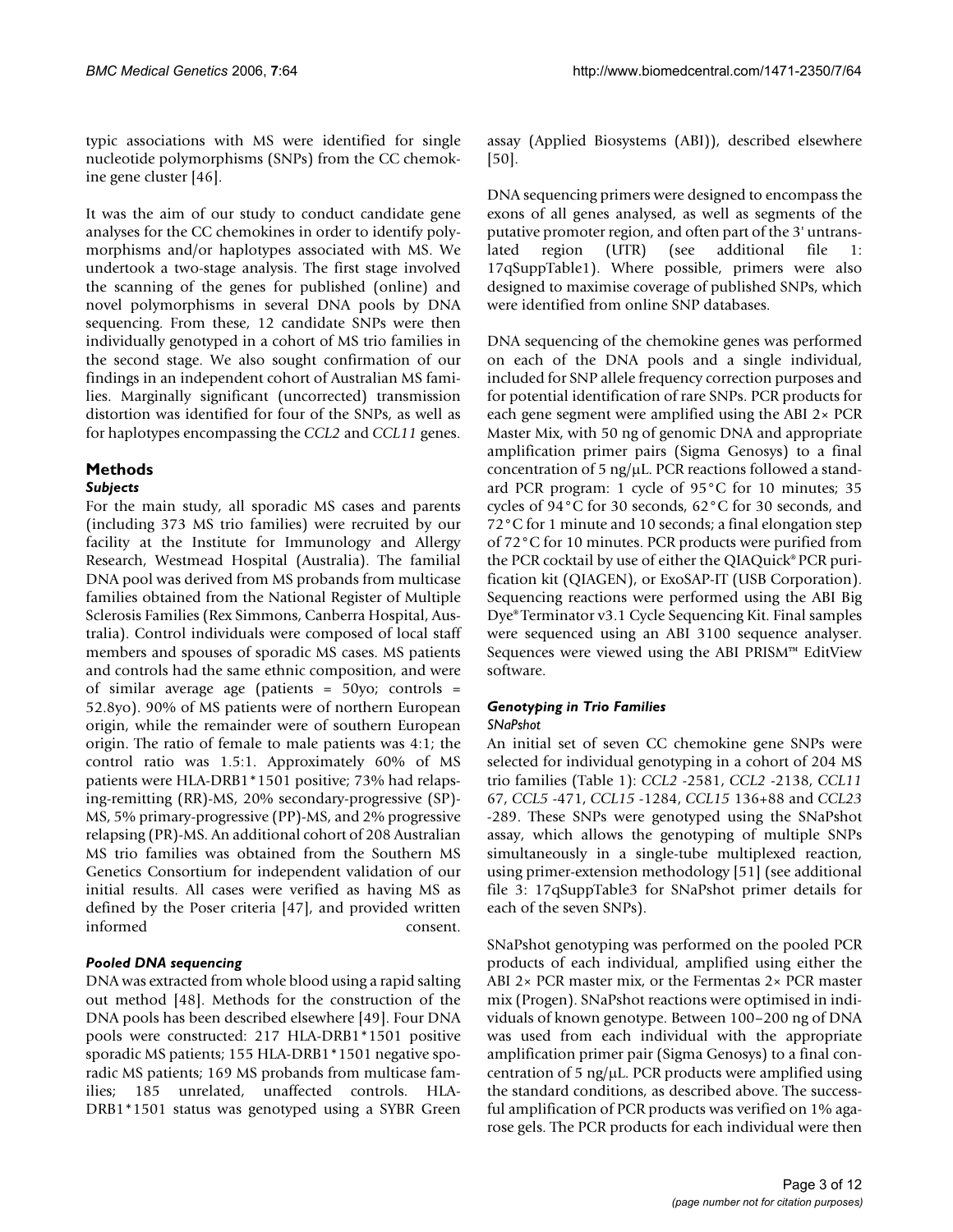typic associations with MS were identified for single nucleotide polymorphisms (SNPs) from the CC chemokine gene cluster [46].

It was the aim of our study to conduct candidate gene analyses for the CC chemokines in order to identify polymorphisms and/or haplotypes associated with MS. We undertook a two-stage analysis. The first stage involved the scanning of the genes for published (online) and novel polymorphisms in several DNA pools by DNA sequencing. From these, 12 candidate SNPs were then individually genotyped in a cohort of MS trio families in the second stage. We also sought confirmation of our findings in an independent cohort of Australian MS families. Marginally significant (uncorrected) transmission distortion was identified for four of the SNPs, as well as for haplotypes encompassing the *CCL2* and *CCL11* genes.

# **Methods**

# *Subjects*

For the main study, all sporadic MS cases and parents (including 373 MS trio families) were recruited by our facility at the Institute for Immunology and Allergy Research, Westmead Hospital (Australia). The familial DNA pool was derived from MS probands from multicase families obtained from the National Register of Multiple Sclerosis Families (Rex Simmons, Canberra Hospital, Australia). Control individuals were composed of local staff members and spouses of sporadic MS cases. MS patients and controls had the same ethnic composition, and were of similar average age (patients = 50yo; controls = 52.8yo). 90% of MS patients were of northern European origin, while the remainder were of southern European origin. The ratio of female to male patients was 4:1; the control ratio was 1.5:1. Approximately 60% of MS patients were HLA-DRB1\*1501 positive; 73% had relapsing-remitting (RR)-MS, 20% secondary-progressive (SP)- MS, 5% primary-progressive (PP)-MS, and 2% progressive relapsing (PR)-MS. An additional cohort of 208 Australian MS trio families was obtained from the Southern MS Genetics Consortium for independent validation of our initial results. All cases were verified as having MS as defined by the Poser criteria [47], and provided written informed consent.

# *Pooled DNA sequencing*

DNA was extracted from whole blood using a rapid salting out method [48]. Methods for the construction of the DNA pools has been described elsewhere [49]. Four DNA pools were constructed: 217 HLA-DRB1\*1501 positive sporadic MS patients; 155 HLA-DRB1\*1501 negative sporadic MS patients; 169 MS probands from multicase families; 185 unrelated, unaffected controls. HLA-DRB1\*1501 status was genotyped using a SYBR Green

assay (Applied Biosystems (ABI)), described elsewhere [50].

DNA sequencing primers were designed to encompass the exons of all genes analysed, as well as segments of the putative promoter region, and often part of the 3' untranslated region (UTR) (see additional file 1: 17qSuppTable1). Where possible, primers were also designed to maximise coverage of published SNPs, which were identified from online SNP databases.

DNA sequencing of the chemokine genes was performed on each of the DNA pools and a single individual, included for SNP allele frequency correction purposes and for potential identification of rare SNPs. PCR products for each gene segment were amplified using the ABI 2× PCR Master Mix, with 50 ng of genomic DNA and appropriate amplification primer pairs (Sigma Genosys) to a final concentration of 5 ng/μL. PCR reactions followed a standard PCR program: 1 cycle of 95°C for 10 minutes; 35 cycles of 94°C for 30 seconds, 62°C for 30 seconds, and 72°C for 1 minute and 10 seconds; a final elongation step of 72°C for 10 minutes. PCR products were purified from the PCR cocktail by use of either the QIAQuick® PCR purification kit (QIAGEN), or ExoSAP-IT (USB Corporation). Sequencing reactions were performed using the ABI Big Dye® Terminator v3.1 Cycle Sequencing Kit. Final samples were sequenced using an ABI 3100 sequence analyser. Sequences were viewed using the ABI PRISM™ EditView software.

# *Genotyping in Trio Families*

# *SNaPshot*

An initial set of seven CC chemokine gene SNPs were selected for individual genotyping in a cohort of 204 MS trio families (Table 1): *CCL2* -2581, *CCL2* -2138, *CCL11* 67, *CCL5* -471, *CCL15* -1284, *CCL15* 136+88 and *CCL23* -289. These SNPs were genotyped using the SNaPshot assay, which allows the genotyping of multiple SNPs simultaneously in a single-tube multiplexed reaction, using primer-extension methodology [51] (see additional file 3: 17qSuppTable3 for SNaPshot primer details for each of the seven SNPs).

SNaPshot genotyping was performed on the pooled PCR products of each individual, amplified using either the ABI 2× PCR master mix, or the Fermentas 2× PCR master mix (Progen). SNaPshot reactions were optimised in individuals of known genotype. Between 100–200 ng of DNA was used from each individual with the appropriate amplification primer pair (Sigma Genosys) to a final concentration of 5 ng/μL. PCR products were amplified using the standard conditions, as described above. The successful amplification of PCR products was verified on 1% agarose gels. The PCR products for each individual were then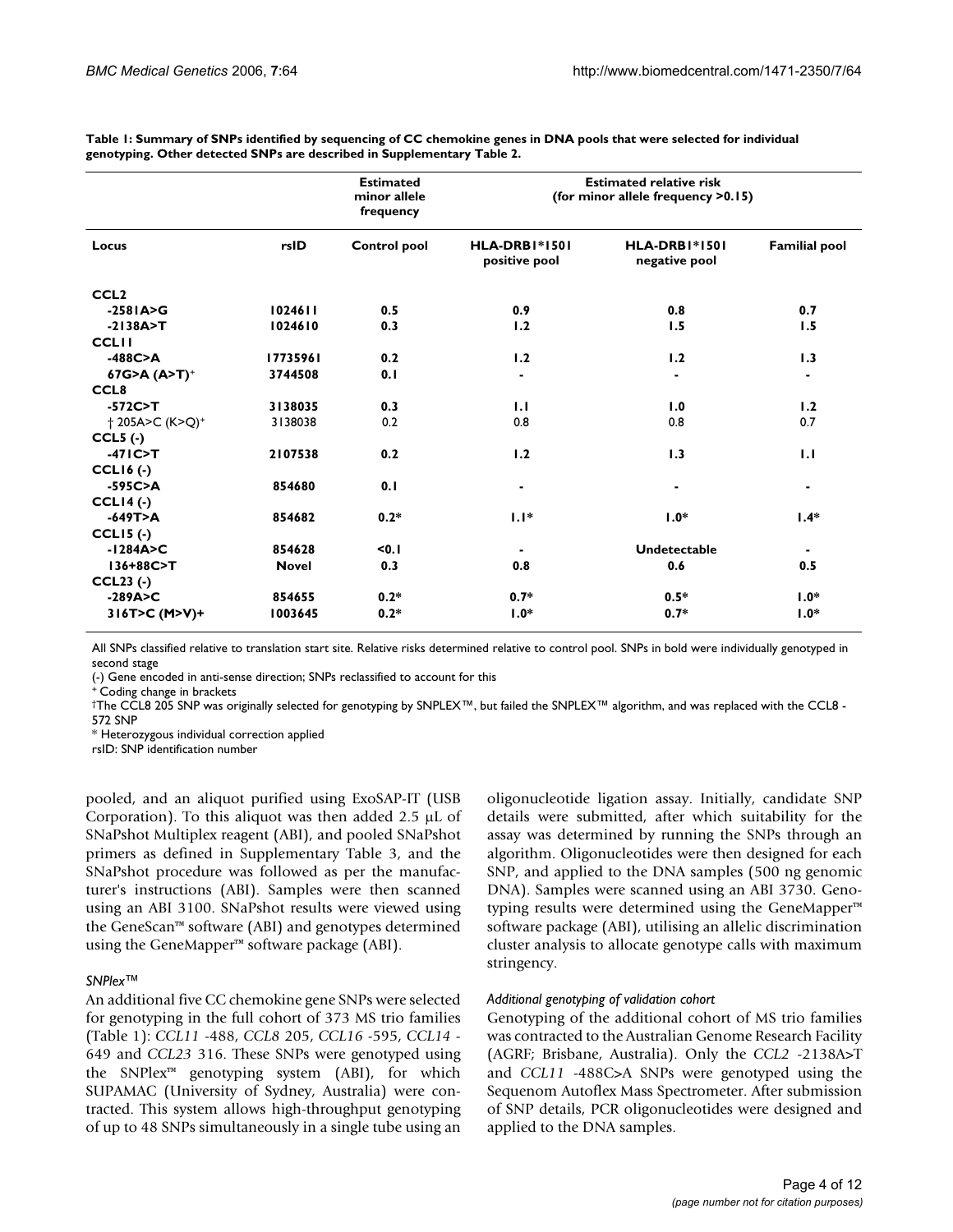| Table 1: Summary of SNPs identified by sequencing of CC chemokine genes in DNA pools that were selected for individual |  |
|------------------------------------------------------------------------------------------------------------------------|--|
| genotyping. Other detected SNPs are described in Supplementary Table 2.                                                |  |

|                      |              | <b>Estimated</b><br>minor allele<br>frequency | <b>Estimated relative risk</b><br>(for minor allele frequency >0.15) |                                |                      |  |  |  |
|----------------------|--------------|-----------------------------------------------|----------------------------------------------------------------------|--------------------------------|----------------------|--|--|--|
| Locus                | rsID         | <b>Control pool</b>                           | <b>HLA-DRB1*1501</b><br>positive pool                                | HLA-DRBI*1501<br>negative pool | <b>Familial pool</b> |  |  |  |
| CCL <sub>2</sub>     |              |                                               |                                                                      |                                |                      |  |  |  |
| $-258$ $A > G$       | 1024611      | 0.5                                           | 0.9                                                                  | 0.8                            | 0.7                  |  |  |  |
| $-2138A > T$         | 1024610      | 0.3                                           | 1.2                                                                  | 1.5                            | 1.5                  |  |  |  |
| <b>CCLII</b>         |              |                                               |                                                                      |                                |                      |  |  |  |
| $-488C > A$          | 17735961     | 0.2                                           | 1.2                                                                  | 1.2                            | 1.3                  |  |  |  |
| $67G > A (A > T)^+$  | 3744508      | 0.1                                           |                                                                      |                                |                      |  |  |  |
| CCL <sub>8</sub>     |              |                                               |                                                                      |                                |                      |  |  |  |
| $-572C > T$          | 3138035      | 0.3                                           | 1.1                                                                  | 1.0                            | 1.2                  |  |  |  |
| +205A>C (K>Q)+       | 3138038      | 0.2                                           | 0.8                                                                  | 0.8                            | 0.7                  |  |  |  |
| $CCL5$ (-)           |              |                                               |                                                                      |                                |                      |  |  |  |
| $-47$ $IC > T$       | 2107538      | 0.2                                           | 1.2                                                                  | 1.3                            | 1.1                  |  |  |  |
| $CCL16$ (-)          |              |                                               |                                                                      |                                |                      |  |  |  |
| $-595C > A$          | 854680       | 0.1                                           | ٠                                                                    | $\blacksquare$                 | ٠                    |  |  |  |
| $CCLI4$ (-)          |              |                                               |                                                                      |                                |                      |  |  |  |
| $-649T > A$          | 854682       | $0.2*$                                        | $1.1*$                                                               | $1.0*$                         | $1.4*$               |  |  |  |
| $CCL15$ (-)          |              |                                               |                                                                      |                                |                      |  |  |  |
| $-1284A > C$         | 854628       | < 0.1                                         |                                                                      | <b>Undetectable</b>            |                      |  |  |  |
| 136+88C>T            | <b>Novel</b> | 0.3                                           | 0.8                                                                  | 0.6                            | 0.5                  |  |  |  |
| $CCL23$ (-)          |              |                                               |                                                                      |                                |                      |  |  |  |
| $-289A > C$          | 854655       | $0.2*$                                        | $0.7*$                                                               | $0.5*$                         | $1.0*$               |  |  |  |
| $316T > C (M > V) +$ | 1003645      | $0.2*$                                        | $1.0*$                                                               | $0.7*$                         | $1.0*$               |  |  |  |

All SNPs classified relative to translation start site. Relative risks determined relative to control pool. SNPs in bold were individually genotyped in second stage

(-) Gene encoded in anti-sense direction; SNPs reclassified to account for this

+ Coding change in brackets

†The CCL8 205 SNP was originally selected for genotyping by SNPLEX™, but failed the SNPLEX™ algorithm, and was replaced with the CCL8 - 572 SNP

\* Heterozygous individual correction applied

rsID: SNP identification number

pooled, and an aliquot purified using ExoSAP-IT (USB Corporation). To this aliquot was then added 2.5 μL of SNaPshot Multiplex reagent (ABI), and pooled SNaPshot primers as defined in Supplementary Table 3, and the SNaPshot procedure was followed as per the manufacturer's instructions (ABI). Samples were then scanned using an ABI 3100. SNaPshot results were viewed using the GeneScan™ software (ABI) and genotypes determined using the GeneMapper™ software package (ABI).

#### *SNPlex™*

An additional five CC chemokine gene SNPs were selected for genotyping in the full cohort of 373 MS trio families (Table 1): *CCL11* -488, *CCL8* 205, *CCL16* -595, *CCL14* - 649 and *CCL23* 316. These SNPs were genotyped using the SNPlex™ genotyping system (ABI), for which SUPAMAC (University of Sydney, Australia) were contracted. This system allows high-throughput genotyping of up to 48 SNPs simultaneously in a single tube using an oligonucleotide ligation assay. Initially, candidate SNP details were submitted, after which suitability for the assay was determined by running the SNPs through an algorithm. Oligonucleotides were then designed for each SNP, and applied to the DNA samples (500 ng genomic DNA). Samples were scanned using an ABI 3730. Genotyping results were determined using the GeneMapper™ software package (ABI), utilising an allelic discrimination cluster analysis to allocate genotype calls with maximum stringency.

#### *Additional genotyping of validation cohort*

Genotyping of the additional cohort of MS trio families was contracted to the Australian Genome Research Facility (AGRF; Brisbane, Australia). Only the *CCL2* -2138A>T and *CCL11* -488C>A SNPs were genotyped using the Sequenom Autoflex Mass Spectrometer. After submission of SNP details, PCR oligonucleotides were designed and applied to the DNA samples.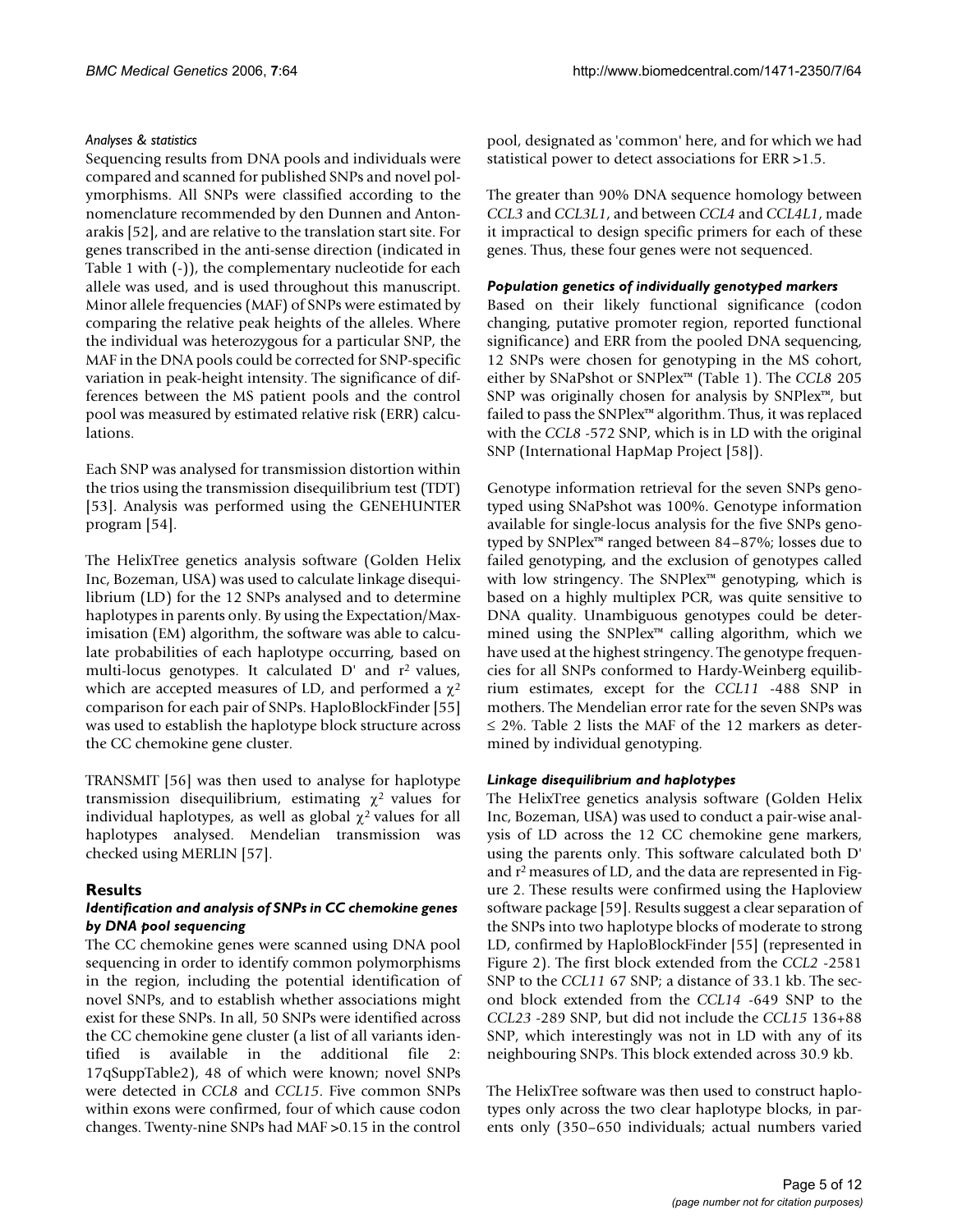# *Analyses & statistics*

Sequencing results from DNA pools and individuals were compared and scanned for published SNPs and novel polymorphisms. All SNPs were classified according to the nomenclature recommended by den Dunnen and Antonarakis [52], and are relative to the translation start site. For genes transcribed in the anti-sense direction (indicated in Table 1 with (-)), the complementary nucleotide for each allele was used, and is used throughout this manuscript. Minor allele frequencies (MAF) of SNPs were estimated by comparing the relative peak heights of the alleles. Where the individual was heterozygous for a particular SNP, the MAF in the DNA pools could be corrected for SNP-specific variation in peak-height intensity. The significance of differences between the MS patient pools and the control pool was measured by estimated relative risk (ERR) calculations.

Each SNP was analysed for transmission distortion within the trios using the transmission disequilibrium test (TDT) [53]. Analysis was performed using the GENEHUNTER program [54].

The HelixTree genetics analysis software (Golden Helix Inc, Bozeman, USA) was used to calculate linkage disequilibrium (LD) for the 12 SNPs analysed and to determine haplotypes in parents only. By using the Expectation/Maximisation (EM) algorithm, the software was able to calculate probabilities of each haplotype occurring, based on multi-locus genotypes. It calculated  $D'$  and  $r^2$  values, which are accepted measures of LD, and performed a  $\chi^2$ comparison for each pair of SNPs. HaploBlockFinder [55] was used to establish the haplotype block structure across the CC chemokine gene cluster.

TRANSMIT [56] was then used to analyse for haplotype transmission disequilibrium, estimating  $χ²$  values for individual haplotypes, as well as global  $\chi^2$  values for all haplotypes analysed. Mendelian transmission was checked using MERLIN [57].

# **Results**

### *Identification and analysis of SNPs in CC chemokine genes by DNA pool sequencing*

The CC chemokine genes were scanned using DNA pool sequencing in order to identify common polymorphisms in the region, including the potential identification of novel SNPs, and to establish whether associations might exist for these SNPs. In all, 50 SNPs were identified across the CC chemokine gene cluster (a list of all variants identified is available in the additional file 2: 17qSuppTable2), 48 of which were known; novel SNPs were detected in *CCL8* and *CCL15*. Five common SNPs within exons were confirmed, four of which cause codon changes. Twenty-nine SNPs had MAF >0.15 in the control

pool, designated as 'common' here, and for which we had statistical power to detect associations for ERR >1.5.

The greater than 90% DNA sequence homology between *CCL3* and *CCL3L1*, and between *CCL4* and *CCL4L1*, made it impractical to design specific primers for each of these genes. Thus, these four genes were not sequenced.

## *Population genetics of individually genotyped markers*

Based on their likely functional significance (codon changing, putative promoter region, reported functional significance) and ERR from the pooled DNA sequencing, 12 SNPs were chosen for genotyping in the MS cohort, either by SNaPshot or SNPlex™ (Table 1). The *CCL8* 205 SNP was originally chosen for analysis by SNPlex™, but failed to pass the SNPlex™ algorithm. Thus, it was replaced with the *CCL8* -572 SNP, which is in LD with the original SNP (International HapMap Project [58]).

Genotype information retrieval for the seven SNPs genotyped using SNaPshot was 100%. Genotype information available for single-locus analysis for the five SNPs genotyped by SNPlex™ ranged between 84–87%; losses due to failed genotyping, and the exclusion of genotypes called with low stringency. The SNPlex™ genotyping, which is based on a highly multiplex PCR, was quite sensitive to DNA quality. Unambiguous genotypes could be determined using the SNPlex™ calling algorithm, which we have used at the highest stringency. The genotype frequencies for all SNPs conformed to Hardy-Weinberg equilibrium estimates, except for the *CCL11* -488 SNP in mothers. The Mendelian error rate for the seven SNPs was  $\leq$  2%. Table 2 lists the MAF of the 12 markers as determined by individual genotyping.

# *Linkage disequilibrium and haplotypes*

The HelixTree genetics analysis software (Golden Helix Inc, Bozeman, USA) was used to conduct a pair-wise analysis of LD across the 12 CC chemokine gene markers, using the parents only. This software calculated both D' and r2 measures of LD, and the data are represented in Figure 2. These results were confirmed using the Haploview software package [59]. Results suggest a clear separation of the SNPs into two haplotype blocks of moderate to strong LD, confirmed by HaploBlockFinder [55] (represented in Figure 2). The first block extended from the *CCL2* -2581 SNP to the *CCL11* 67 SNP; a distance of 33.1 kb. The second block extended from the *CCL14* -649 SNP to the *CCL23* -289 SNP, but did not include the *CCL15* 136+88 SNP, which interestingly was not in LD with any of its neighbouring SNPs. This block extended across 30.9 kb.

The HelixTree software was then used to construct haplotypes only across the two clear haplotype blocks, in parents only (350–650 individuals; actual numbers varied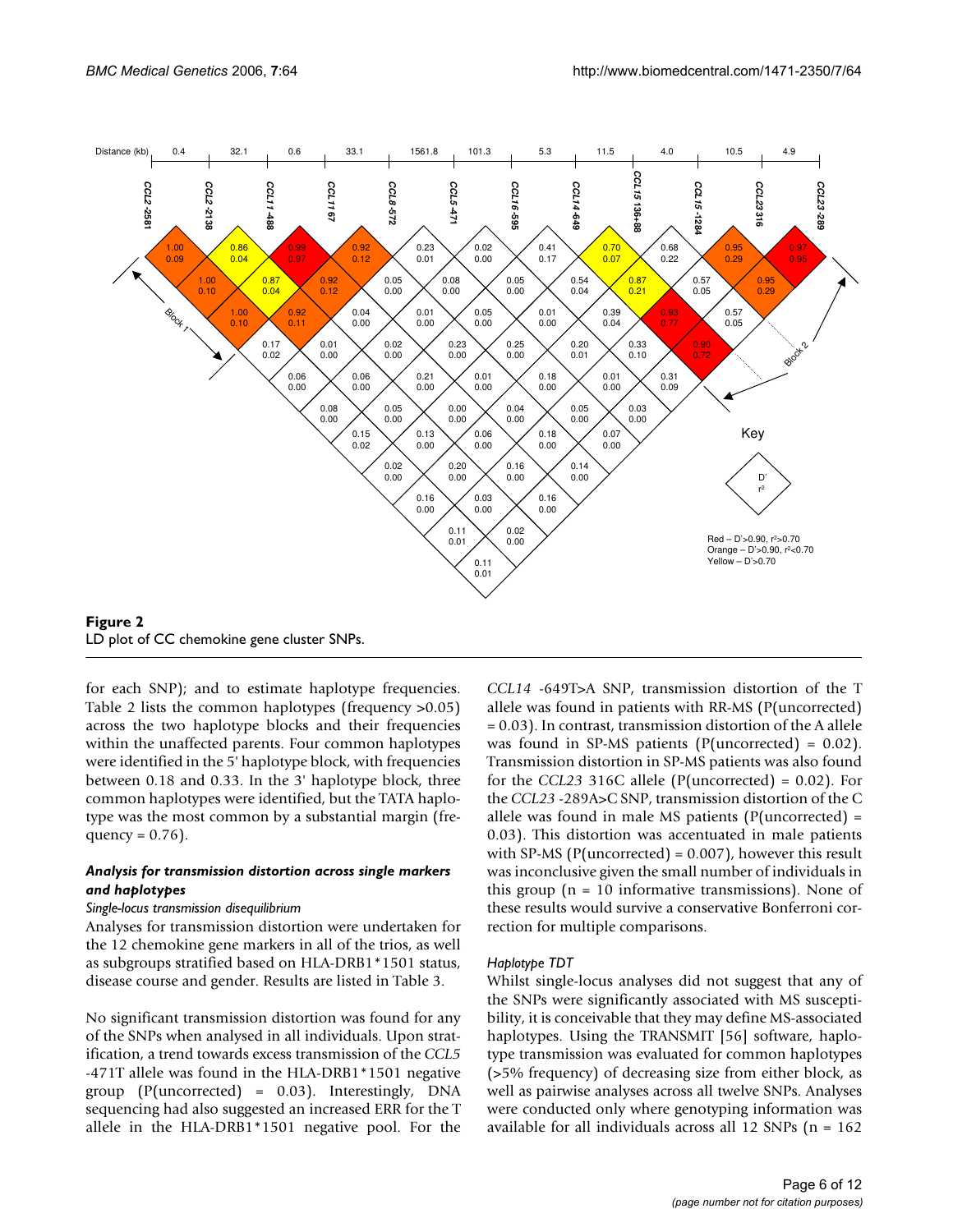

**Figure 2** 

for each SNP); and to estimate haplotype frequencies. Table 2 lists the common haplotypes (frequency >0.05) across the two haplotype blocks and their frequencies within the unaffected parents. Four common haplotypes were identified in the 5' haplotype block, with frequencies between 0.18 and 0.33. In the 3' haplotype block, three common haplotypes were identified, but the TATA haplotype was the most common by a substantial margin (frequency =  $0.76$ ).

# *Analysis for transmission distortion across single markers and haplotypes*

#### *Single-locus transmission disequilibrium*

Analyses for transmission distortion were undertaken for the 12 chemokine gene markers in all of the trios, as well as subgroups stratified based on HLA-DRB1\*1501 status, disease course and gender. Results are listed in Table 3.

No significant transmission distortion was found for any of the SNPs when analysed in all individuals. Upon stratification, a trend towards excess transmission of the *CCL5* -471T allele was found in the HLA-DRB1\*1501 negative group  $(P(uncorrected) = 0.03)$ . Interestingly, DNA sequencing had also suggested an increased ERR for the T allele in the HLA-DRB1\*1501 negative pool. For the *CCL14* -649T>A SNP, transmission distortion of the T allele was found in patients with RR-MS (P(uncorrected) = 0.03). In contrast, transmission distortion of the A allele was found in SP-MS patients (P(uncorrected) = 0.02). Transmission distortion in SP-MS patients was also found for the *CCL23* 316C allele (P(uncorrected) = 0.02). For the *CCL23* -289A>C SNP, transmission distortion of the C allele was found in male MS patients ( $P$ (uncorrected) = 0.03). This distortion was accentuated in male patients with SP-MS (P(uncorrected) =  $0.007$ ), however this result was inconclusive given the small number of individuals in this group  $(n = 10$  informative transmissions). None of these results would survive a conservative Bonferroni correction for multiple comparisons.

# *Haplotype TDT*

Whilst single-locus analyses did not suggest that any of the SNPs were significantly associated with MS susceptibility, it is conceivable that they may define MS-associated haplotypes. Using the TRANSMIT [56] software, haplotype transmission was evaluated for common haplotypes (>5% frequency) of decreasing size from either block, as well as pairwise analyses across all twelve SNPs. Analyses were conducted only where genotyping information was available for all individuals across all 12 SNPs (n = 162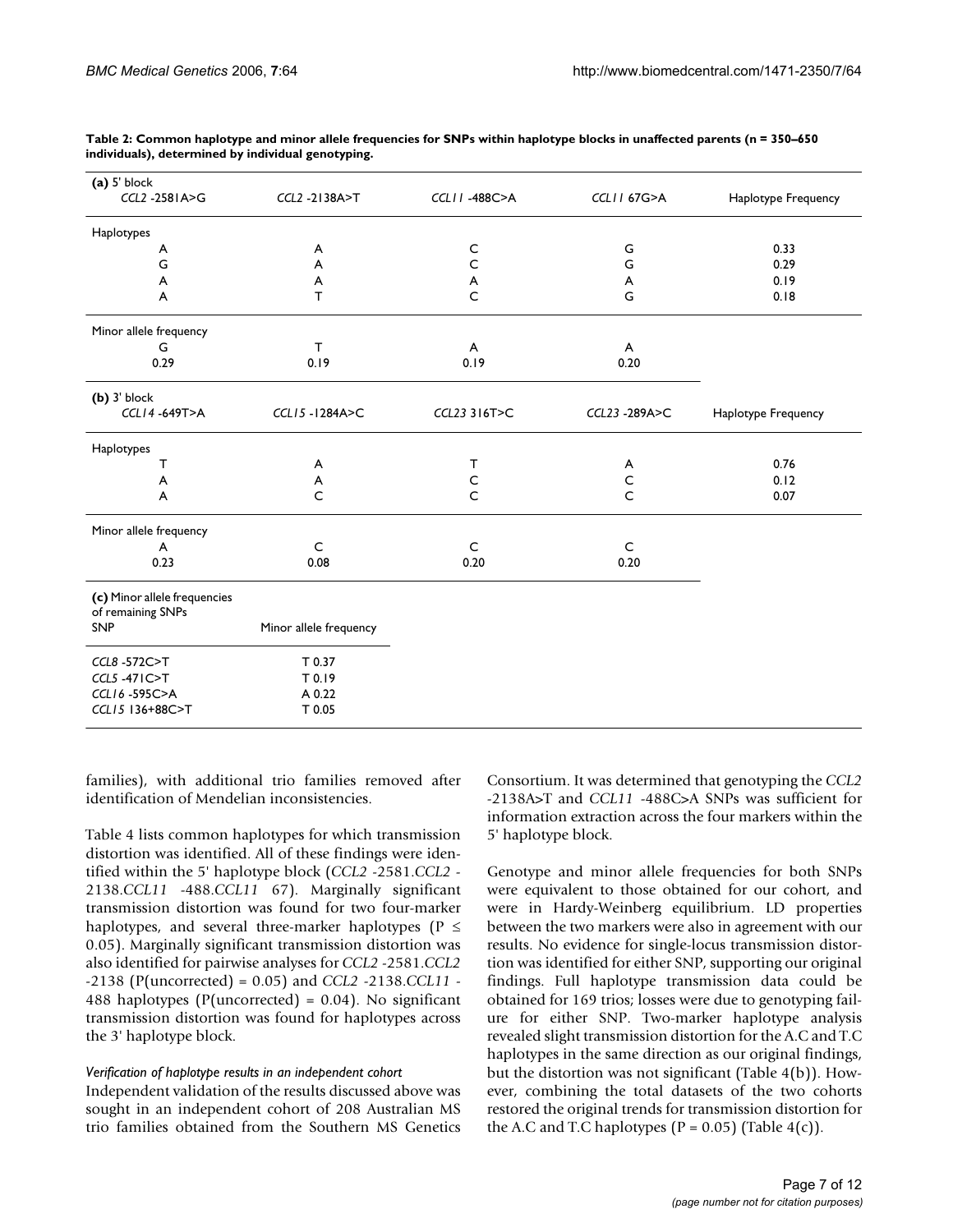| (a) 5' block                                      |                        |              |                       |                     |
|---------------------------------------------------|------------------------|--------------|-----------------------|---------------------|
| CCL2 -2581A>G                                     | CCL2 -2138A>T          | CCLII-488C>A | <b>CCLII 67G&gt;A</b> | Haplotype Frequency |
| Haplotypes                                        |                        |              |                       |                     |
| A                                                 | A                      | C            | G                     | 0.33                |
| G                                                 | A                      | $\mathsf{C}$ | G                     | 0.29                |
| A                                                 | A                      | A            | A                     | 0.19                |
| А                                                 | $\mathsf{T}$           | $\mathsf{C}$ | G                     | 0.18                |
| Minor allele frequency                            |                        |              |                       |                     |
| G                                                 | $\mathsf{T}$           | A            | A                     |                     |
| 0.29                                              | 0.19                   | 0.19         | 0.20                  |                     |
| $(b)$ 3' block                                    |                        |              |                       |                     |
| CCL14-649T>A                                      | CCL15-1284A>C          | CCL23 316T>C | CCL23-289A>C          | Haplotype Frequency |
| Haplotypes                                        |                        |              |                       |                     |
| т                                                 | A                      | T            | A                     | 0.76                |
| A                                                 | A                      | $\mathsf C$  | $\mathsf C$           | 0.12                |
| A                                                 | $\mathsf{C}$           | $\mathsf{C}$ | $\overline{C}$        | 0.07                |
| Minor allele frequency                            |                        |              |                       |                     |
| A                                                 | $\mathsf{C}$           | $\mathsf{C}$ | $\mathsf C$           |                     |
| 0.23                                              | 0.08                   | 0.20         | 0.20                  |                     |
| (c) Minor allele frequencies<br>of remaining SNPs |                        |              |                       |                     |
| SNP                                               | Minor allele frequency |              |                       |                     |
| CCL8-572C>T                                       | T 0.37                 |              |                       |                     |
| CCL5 -471 C>T                                     | T 0.19                 |              |                       |                     |
| CCL16-595C>A                                      | A 0.22                 |              |                       |                     |
| CCL15 136+88C>T                                   | T 0.05                 |              |                       |                     |
|                                                   |                        |              |                       |                     |

**Table 2: Common haplotype and minor allele frequencies for SNPs within haplotype blocks in unaffected parents (n = 350–650 individuals), determined by individual genotyping.**

families), with additional trio families removed after identification of Mendelian inconsistencies.

Table 4 lists common haplotypes for which transmission distortion was identified. All of these findings were identified within the 5' haplotype block (*CCL2* -2581.*CCL2* - 2138.*CCL11* -488.*CCL11* 67). Marginally significant transmission distortion was found for two four-marker haplotypes, and several three-marker haplotypes ( $P \leq$ 0.05). Marginally significant transmission distortion was also identified for pairwise analyses for *CCL2* -2581.*CCL2* -2138 (P(uncorrected) = 0.05) and *CCL2* -2138.*CCL11* - 488 haplotypes (P(uncorrected) =  $0.04$ ). No significant transmission distortion was found for haplotypes across the 3' haplotype block.

#### *Verification of haplotype results in an independent cohort*

Independent validation of the results discussed above was sought in an independent cohort of 208 Australian MS trio families obtained from the Southern MS Genetics Consortium. It was determined that genotyping the *CCL2* -2138A>T and *CCL11* -488C>A SNPs was sufficient for information extraction across the four markers within the 5' haplotype block.

Genotype and minor allele frequencies for both SNPs were equivalent to those obtained for our cohort, and were in Hardy-Weinberg equilibrium. LD properties between the two markers were also in agreement with our results. No evidence for single-locus transmission distortion was identified for either SNP, supporting our original findings. Full haplotype transmission data could be obtained for 169 trios; losses were due to genotyping failure for either SNP. Two-marker haplotype analysis revealed slight transmission distortion for the A.C and T.C haplotypes in the same direction as our original findings, but the distortion was not significant (Table 4(b)). However, combining the total datasets of the two cohorts restored the original trends for transmission distortion for the A.C and T.C haplotypes ( $P = 0.05$ ) (Table 4(c)).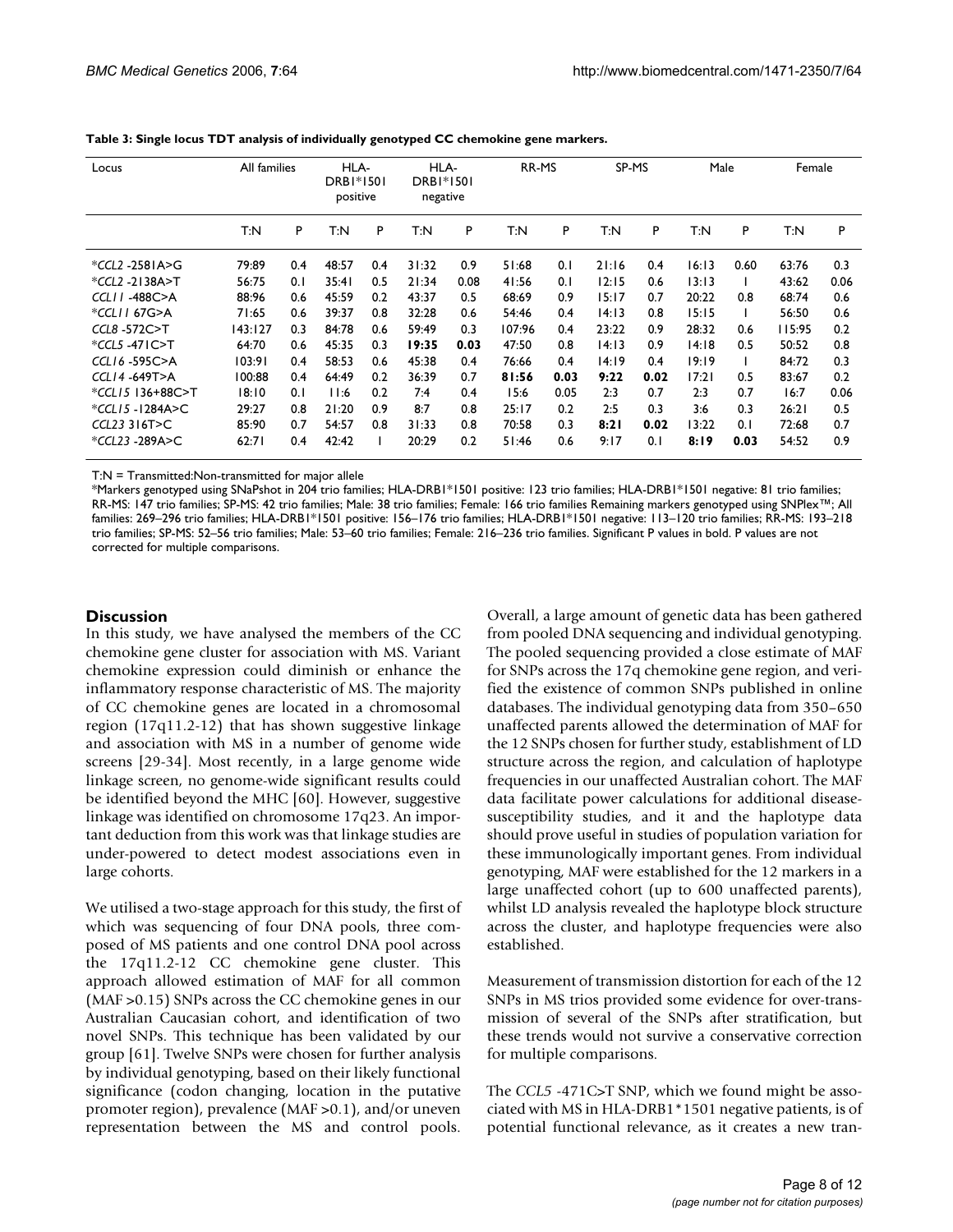| Locus              | All families |     | HLA-<br>DRB1*1501<br>positive |     | HLA-<br><b>DRBI*1501</b><br>negative |      | RR-MS  |      | SP-MS |      | Male  |      | Female |      |
|--------------------|--------------|-----|-------------------------------|-----|--------------------------------------|------|--------|------|-------|------|-------|------|--------|------|
|                    | T:N          | P   | T:N                           | P   | T:N                                  | P    | T:N    | P    | T:N   | P    | T:N   | P    | T:N    | P    |
| *CCL2 -2581A>G     | 79:89        | 0.4 | 48:57                         | 0.4 | 31:32                                | 0.9  | 51:68  | 0.1  | 21:16 | 0.4  | 16:13 | 0.60 | 63:76  | 0.3  |
| *CCL2 -2138A>T     | 56:75        | 0.1 | 35:41                         | 0.5 | 21:34                                | 0.08 | 41:56  | 0.1  | 12:15 | 0.6  | 13:13 |      | 43:62  | 0.06 |
| $CCLII - 488C > A$ | 88:96        | 0.6 | 45:59                         | 0.2 | 43:37                                | 0.5  | 68:69  | 0.9  | 15:17 | 0.7  | 20:22 | 0.8  | 68:74  | 0.6  |
| *CCLII 67G>A       | 71:65        | 0.6 | 39:37                         | 0.8 | 32:28                                | 0.6  | 54:46  | 0.4  | 14:13 | 0.8  | 15:15 |      | 56:50  | 0.6  |
| CCL8-572C>T        | 143:127      | 0.3 | 84:78                         | 0.6 | 59:49                                | 0.3  | 107:96 | 0.4  | 23:22 | 0.9  | 28:32 | 0.6  | 115:95 | 0.2  |
| *CCL5 -471C>T      | 64:70        | 0.6 | 45:35                         | 0.3 | 19:35                                | 0.03 | 47:50  | 0.8  | 14:13 | 0.9  | 14:18 | 0.5  | 50:52  | 0.8  |
| $CCL16 - 595C > A$ | 103:91       | 0.4 | 58:53                         | 0.6 | 45:38                                | 0.4  | 76:66  | 0.4  | 14:19 | 0.4  | 19:19 |      | 84:72  | 0.3  |
| $CCL14 - 649T > A$ | 100:88       | 0.4 | 64:49                         | 0.2 | 36:39                                | 0.7  | 81:56  | 0.03 | 9:22  | 0.02 | 17:21 | 0.5  | 83:67  | 0.2  |
| *CCL15 136+88C>T   | 18:10        | 0.1 | 11:6                          | 0.2 | 7:4                                  | 0.4  | 15:6   | 0.05 | 2:3   | 0.7  | 2:3   | 0.7  | 16:7   | 0.06 |
| *CCL15-1284A>C     | 29:27        | 0.8 | 21:20                         | 0.9 | 8:7                                  | 0.8  | 25:17  | 0.2  | 2:5   | 0.3  | 3:6   | 0.3  | 26:21  | 0.5  |
| $CCL23$ 316T>C     | 85:90        | 0.7 | 54:57                         | 0.8 | 31:33                                | 0.8  | 70:58  | 0.3  | 8:21  | 0.02 | 13:22 | 0.1  | 72:68  | 0.7  |
| *CCL23 -289A>C     | 62:71        | 0.4 | 42:42                         |     | 20:29                                | 0.2  | 51:46  | 0.6  | 9:17  | 0.1  | 8:19  | 0.03 | 54:52  | 0.9  |

**Table 3: Single locus TDT analysis of individually genotyped CC chemokine gene markers.**

T:N = Transmitted:Non-transmitted for major allele

\*Markers genotyped using SNaPshot in 204 trio families; HLA-DRB1\*1501 positive: 123 trio families; HLA-DRB1\*1501 negative: 81 trio families; RR-MS: 147 trio families; SP-MS: 42 trio families; Male: 38 trio families; Female: 166 trio families Remaining markers genotyped using SNPlex™; All families: 269–296 trio families; HLA-DRB1\*1501 positive: 156–176 trio families; HLA-DRB1\*1501 negative: 113–120 trio families; RR-MS: 193–218 trio families; SP-MS: 52–56 trio families; Male: 53–60 trio families; Female: 216–236 trio families. Significant P values in bold. P values are not corrected for multiple comparisons.

#### **Discussion**

In this study, we have analysed the members of the CC chemokine gene cluster for association with MS. Variant chemokine expression could diminish or enhance the inflammatory response characteristic of MS. The majority of CC chemokine genes are located in a chromosomal region (17q11.2-12) that has shown suggestive linkage and association with MS in a number of genome wide screens [29-34]. Most recently, in a large genome wide linkage screen, no genome-wide significant results could be identified beyond the MHC [60]. However, suggestive linkage was identified on chromosome 17q23. An important deduction from this work was that linkage studies are under-powered to detect modest associations even in large cohorts.

We utilised a two-stage approach for this study, the first of which was sequencing of four DNA pools, three composed of MS patients and one control DNA pool across the 17q11.2-12 CC chemokine gene cluster. This approach allowed estimation of MAF for all common (MAF >0.15) SNPs across the CC chemokine genes in our Australian Caucasian cohort, and identification of two novel SNPs. This technique has been validated by our group [61]. Twelve SNPs were chosen for further analysis by individual genotyping, based on their likely functional significance (codon changing, location in the putative promoter region), prevalence (MAF >0.1), and/or uneven representation between the MS and control pools.

Overall, a large amount of genetic data has been gathered from pooled DNA sequencing and individual genotyping. The pooled sequencing provided a close estimate of MAF for SNPs across the 17q chemokine gene region, and verified the existence of common SNPs published in online databases. The individual genotyping data from 350–650 unaffected parents allowed the determination of MAF for the 12 SNPs chosen for further study, establishment of LD structure across the region, and calculation of haplotype frequencies in our unaffected Australian cohort. The MAF data facilitate power calculations for additional diseasesusceptibility studies, and it and the haplotype data should prove useful in studies of population variation for these immunologically important genes. From individual genotyping, MAF were established for the 12 markers in a large unaffected cohort (up to 600 unaffected parents), whilst LD analysis revealed the haplotype block structure across the cluster, and haplotype frequencies were also established.

Measurement of transmission distortion for each of the 12 SNPs in MS trios provided some evidence for over-transmission of several of the SNPs after stratification, but these trends would not survive a conservative correction for multiple comparisons.

The *CCL5* -471C>T SNP, which we found might be associated with MS in HLA-DRB1\*1501 negative patients, is of potential functional relevance, as it creates a new tran-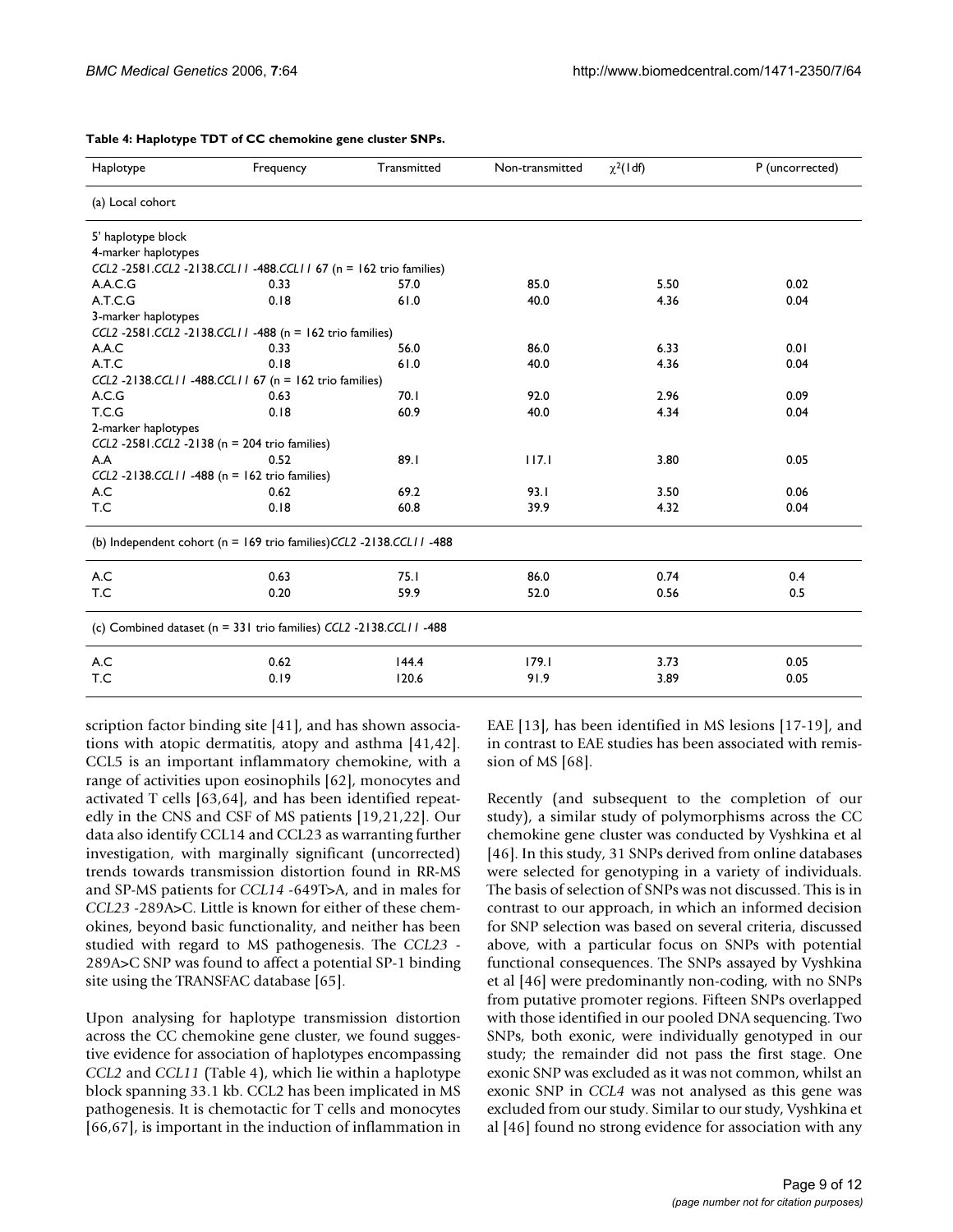| Haplotype           | Frequency                                                              | Transmitted | Non-transmitted | $\chi^2$ (1df) | P (uncorrected) |
|---------------------|------------------------------------------------------------------------|-------------|-----------------|----------------|-----------------|
| (a) Local cohort    |                                                                        |             |                 |                |                 |
| 5' haplotype block  |                                                                        |             |                 |                |                 |
| 4-marker haplotypes |                                                                        |             |                 |                |                 |
|                     | CCL2 -2581.CCL2 -2138.CCL11 -488.CCL11 67 (n = 162 trio families)      |             |                 |                |                 |
| A.A.C.G             | 0.33                                                                   | 57.0        | 85.0            | 5.50           | 0.02            |
| A.T.C.G             | 0.18                                                                   | 61.0        | 40.0            | 4.36           | 0.04            |
| 3-marker haplotypes |                                                                        |             |                 |                |                 |
|                     | CCL2 -2581.CCL2 -2138.CCL11 -488 (n = 162 trio families)               |             |                 |                |                 |
| A.A.C               | 0.33                                                                   | 56.0        | 86.0            | 6.33           | 0.01            |
| A.T.C               | 0.18                                                                   | 61.0        | 40.0            | 4.36           | 0.04            |
|                     | CCL2 -2138.CCL11 -488.CCL11 67 (n = 162 trio families)                 |             |                 |                |                 |
| A.C.G               | 0.63                                                                   | 70.1        | 92.0            | 2.96           | 0.09            |
| T.C.G               | 0.18                                                                   | 60.9        | 40.0            | 4.34           | 0.04            |
| 2-marker haplotypes |                                                                        |             |                 |                |                 |
|                     | CCL2 -2581.CCL2 -2138 (n = 204 trio families)                          |             |                 |                |                 |
| A.A                 | 0.52                                                                   | 89.1        | 117.1           | 3.80           | 0.05            |
|                     | $CCL2 - 2138.CCL11 - 488$ (n = 162 trio families)                      |             |                 |                |                 |
| A.C                 | 0.62                                                                   | 69.2        | 93.1            | 3.50           | 0.06            |
| T.C                 | 0.18                                                                   | 60.8        | 39.9            | 4.32           | 0.04            |
|                     | (b) Independent cohort ( $n = 169$ trio families)CCL2 -2138.CCL11 -488 |             |                 |                |                 |
| A.C                 | 0.63                                                                   | 75.1        | 86.0            | 0.74           | 0.4             |
| T.C                 | 0.20                                                                   | 59.9        | 52.0            | 0.56           | 0.5             |
|                     | (c) Combined dataset (n = 331 trio families) CCL2 -2138.CCL11 -488     |             |                 |                |                 |
| A.C                 | 0.62                                                                   | 144.4       | 179.1           | 3.73           | 0.05            |
| T.C                 | 0.19                                                                   | 120.6       | 91.9            | 3.89           | 0.05            |

#### **Table 4: Haplotype TDT of CC chemokine gene cluster SNPs.**

scription factor binding site [41], and has shown associations with atopic dermatitis, atopy and asthma [41,42]. CCL5 is an important inflammatory chemokine, with a range of activities upon eosinophils [62], monocytes and activated T cells [63,64], and has been identified repeatedly in the CNS and CSF of MS patients [19,21,22]. Our data also identify CCL14 and CCL23 as warranting further investigation, with marginally significant (uncorrected) trends towards transmission distortion found in RR-MS and SP-MS patients for *CCL14* -649T>A, and in males for *CCL23* -289A>C. Little is known for either of these chemokines, beyond basic functionality, and neither has been studied with regard to MS pathogenesis. The *CCL23* - 289A>C SNP was found to affect a potential SP-1 binding site using the TRANSFAC database [65].

Upon analysing for haplotype transmission distortion across the CC chemokine gene cluster, we found suggestive evidence for association of haplotypes encompassing *CCL2* and *CCL11* (Table 4), which lie within a haplotype block spanning 33.1 kb. CCL2 has been implicated in MS pathogenesis. It is chemotactic for T cells and monocytes [66,67], is important in the induction of inflammation in

EAE [13], has been identified in MS lesions [17-19], and in contrast to EAE studies has been associated with remission of MS [68].

Recently (and subsequent to the completion of our study), a similar study of polymorphisms across the CC chemokine gene cluster was conducted by Vyshkina et al [46]. In this study, 31 SNPs derived from online databases were selected for genotyping in a variety of individuals. The basis of selection of SNPs was not discussed. This is in contrast to our approach, in which an informed decision for SNP selection was based on several criteria, discussed above, with a particular focus on SNPs with potential functional consequences. The SNPs assayed by Vyshkina et al [46] were predominantly non-coding, with no SNPs from putative promoter regions. Fifteen SNPs overlapped with those identified in our pooled DNA sequencing. Two SNPs, both exonic, were individually genotyped in our study; the remainder did not pass the first stage. One exonic SNP was excluded as it was not common, whilst an exonic SNP in *CCL4* was not analysed as this gene was excluded from our study. Similar to our study, Vyshkina et al [46] found no strong evidence for association with any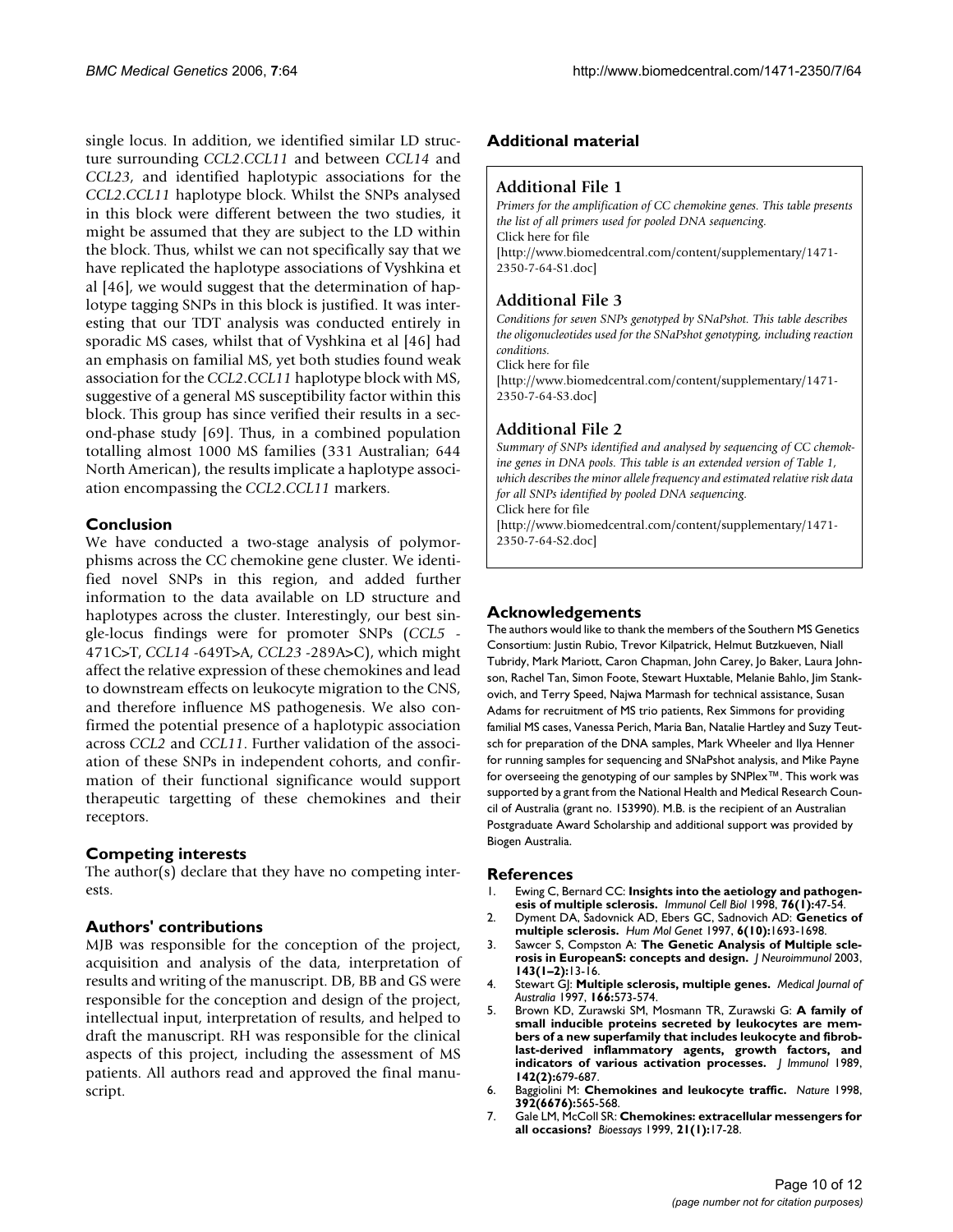single locus. In addition, we identified similar LD structure surrounding *CCL2*.*CCL11* and between *CCL14* and *CCL23*, and identified haplotypic associations for the *CCL2*.*CCL11* haplotype block. Whilst the SNPs analysed in this block were different between the two studies, it might be assumed that they are subject to the LD within the block. Thus, whilst we can not specifically say that we have replicated the haplotype associations of Vyshkina et al [46], we would suggest that the determination of haplotype tagging SNPs in this block is justified. It was interesting that our TDT analysis was conducted entirely in sporadic MS cases, whilst that of Vyshkina et al [46] had an emphasis on familial MS, yet both studies found weak association for the *CCL2*.*CCL11* haplotype block with MS, suggestive of a general MS susceptibility factor within this block. This group has since verified their results in a second-phase study [69]. Thus, in a combined population totalling almost 1000 MS families (331 Australian; 644 North American), the results implicate a haplotype association encompassing the *CCL2*.*CCL11* markers.

# **Conclusion**

We have conducted a two-stage analysis of polymorphisms across the CC chemokine gene cluster. We identified novel SNPs in this region, and added further information to the data available on LD structure and haplotypes across the cluster. Interestingly, our best single-locus findings were for promoter SNPs (*CCL5* - 471C>T, *CCL14* -649T>A, *CCL23* -289A>C), which might affect the relative expression of these chemokines and lead to downstream effects on leukocyte migration to the CNS, and therefore influence MS pathogenesis. We also confirmed the potential presence of a haplotypic association across *CCL2* and *CCL11*. Further validation of the association of these SNPs in independent cohorts, and confirmation of their functional significance would support therapeutic targetting of these chemokines and their receptors.

# **Competing interests**

The author(s) declare that they have no competing interests.

# **Authors' contributions**

MJB was responsible for the conception of the project, acquisition and analysis of the data, interpretation of results and writing of the manuscript. DB, BB and GS were responsible for the conception and design of the project, intellectual input, interpretation of results, and helped to draft the manuscript. RH was responsible for the clinical aspects of this project, including the assessment of MS patients. All authors read and approved the final manuscript.

# **Additional material**

## **Additional File 1**

*Primers for the amplification of CC chemokine genes. This table presents the list of all primers used for pooled DNA sequencing.* Click here for file [\[http://www.biomedcentral.com/content/supplementary/1471-](http://www.biomedcentral.com/content/supplementary/1471-2350-7-64-S1.doc) 2350-7-64-S1.doc]

# **Additional File 3**

*Conditions for seven SNPs genotyped by SNaPshot. This table describes the oligonucleotides used for the SNaPshot genotyping, including reaction conditions.* Click here for file

[\[http://www.biomedcentral.com/content/supplementary/1471-](http://www.biomedcentral.com/content/supplementary/1471-2350-7-64-S3.doc) 2350-7-64-S3.doc]

# **Additional File 2**

*Summary of SNPs identified and analysed by sequencing of CC chemokine genes in DNA pools. This table is an extended version of Table 1, which describes the minor allele frequency and estimated relative risk data for all SNPs identified by pooled DNA sequencing.* Click here for file [\[http://www.biomedcentral.com/content/supplementary/1471-](http://www.biomedcentral.com/content/supplementary/1471-2350-7-64-S2.doc) 2350-7-64-S2.doc]

# **Acknowledgements**

The authors would like to thank the members of the Southern MS Genetics Consortium: Justin Rubio, Trevor Kilpatrick, Helmut Butzkueven, Niall Tubridy, Mark Mariott, Caron Chapman, John Carey, Jo Baker, Laura Johnson, Rachel Tan, Simon Foote, Stewart Huxtable, Melanie Bahlo, Jim Stankovich, and Terry Speed, Najwa Marmash for technical assistance, Susan Adams for recruitment of MS trio patients, Rex Simmons for providing familial MS cases, Vanessa Perich, Maria Ban, Natalie Hartley and Suzy Teutsch for preparation of the DNA samples, Mark Wheeler and Ilya Henner for running samples for sequencing and SNaPshot analysis, and Mike Payne for overseeing the genotyping of our samples by SNPlex™. This work was supported by a grant from the National Health and Medical Research Council of Australia (grant no. 153990). M.B. is the recipient of an Australian Postgraduate Award Scholarship and additional support was provided by Biogen Australia.

#### **References**

- 1. Ewing C, Bernard CC: **[Insights into the aetiology and pathogen](http://www.ncbi.nlm.nih.gov/entrez/query.fcgi?cmd=Retrieve&db=PubMed&dopt=Abstract&list_uids=9553776)[esis of multiple sclerosis.](http://www.ncbi.nlm.nih.gov/entrez/query.fcgi?cmd=Retrieve&db=PubMed&dopt=Abstract&list_uids=9553776)** *Immunol Cell Biol* 1998, **76(1):**47-54.
- 2. Dyment DA, Sadovnick AD, Ebers GC, Sadnovich AD: **[Genetics of](http://www.ncbi.nlm.nih.gov/entrez/query.fcgi?cmd=Retrieve&db=PubMed&dopt=Abstract&list_uids=9300661) [multiple sclerosis.](http://www.ncbi.nlm.nih.gov/entrez/query.fcgi?cmd=Retrieve&db=PubMed&dopt=Abstract&list_uids=9300661)** *Hum Mol Genet* 1997, **6(10):**1693-1698.
- 3. Sawcer S, Compston A: **[The Genetic Analysis of Multiple scle](http://www.ncbi.nlm.nih.gov/entrez/query.fcgi?cmd=Retrieve&db=PubMed&dopt=Abstract&list_uids=14575908)[rosis in EuropeanS: concepts and design.](http://www.ncbi.nlm.nih.gov/entrez/query.fcgi?cmd=Retrieve&db=PubMed&dopt=Abstract&list_uids=14575908)** *J Neuroimmunol* 2003, **143(1–2):**13-16.
- 4. Stewart GJ: **[Multiple sclerosis, multiple genes.](http://www.ncbi.nlm.nih.gov/entrez/query.fcgi?cmd=Retrieve&db=PubMed&dopt=Abstract&list_uids=9201174)** *Medical Journal of Australia* 1997, **166:**573-574.
- 5. Brown KD, Zurawski SM, Mosmann TR, Zurawski G: **[A family of](http://www.ncbi.nlm.nih.gov/entrez/query.fcgi?cmd=Retrieve&db=PubMed&dopt=Abstract&list_uids=2521353) small inducible proteins secreted by leukocytes are mem[bers of a new superfamily that includes leukocyte and fibrob](http://www.ncbi.nlm.nih.gov/entrez/query.fcgi?cmd=Retrieve&db=PubMed&dopt=Abstract&list_uids=2521353)last-derived inflammatory agents, growth factors, and [indicators of various activation processes.](http://www.ncbi.nlm.nih.gov/entrez/query.fcgi?cmd=Retrieve&db=PubMed&dopt=Abstract&list_uids=2521353)** *J Immunol* 1989, **142(2):**679-687.
- 6. Baggiolini M: **[Chemokines and leukocyte traffic.](http://www.ncbi.nlm.nih.gov/entrez/query.fcgi?cmd=Retrieve&db=PubMed&dopt=Abstract&list_uids=9560152)** *Nature* 1998, **392(6676):**565-568.
- 7. Gale LM, McColl SR: **[Chemokines: extracellular messengers for](http://www.ncbi.nlm.nih.gov/entrez/query.fcgi?cmd=Retrieve&db=PubMed&dopt=Abstract&list_uids=10070251) [all occasions?](http://www.ncbi.nlm.nih.gov/entrez/query.fcgi?cmd=Retrieve&db=PubMed&dopt=Abstract&list_uids=10070251)** *Bioessays* 1999, **21(1):**17-28.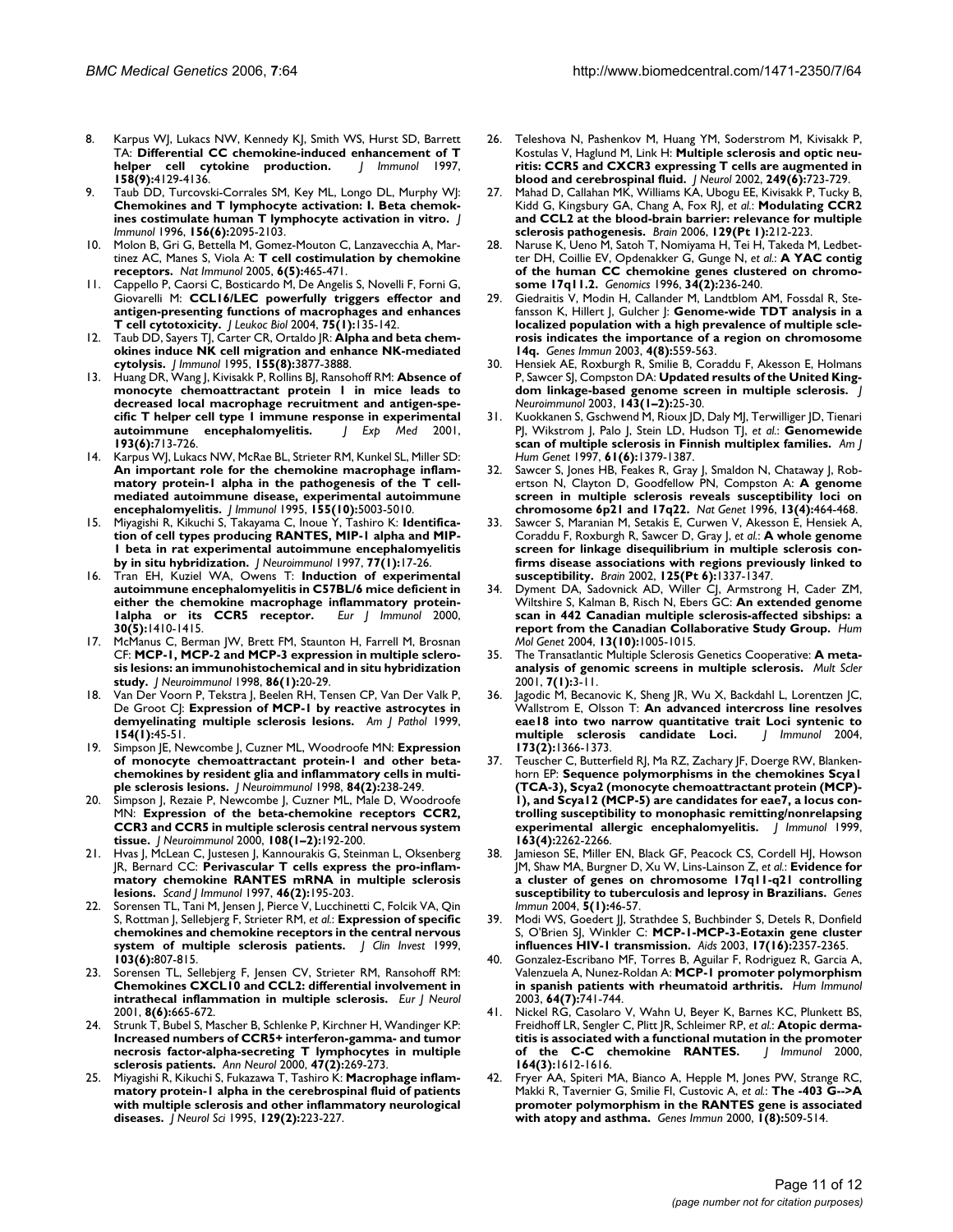- 8. Karpus WJ, Lukacs NW, Kennedy KJ, Smith WS, Hurst SD, Barrett TA: **[Differential CC chemokine-induced enhancement of T](http://www.ncbi.nlm.nih.gov/entrez/query.fcgi?cmd=Retrieve&db=PubMed&dopt=Abstract&list_uids=9126972) helper** cell cytokine production. **158(9):**4129-4136.
- 9. Taub DD, Turcovski-Corrales SM, Key ML, Longo DL, Murphy WJ: **[Chemokines and T lymphocyte activation: I. Beta chemok](http://www.ncbi.nlm.nih.gov/entrez/query.fcgi?cmd=Retrieve&db=PubMed&dopt=Abstract&list_uids=8690897)[ines costimulate human T lymphocyte activation in vitro.](http://www.ncbi.nlm.nih.gov/entrez/query.fcgi?cmd=Retrieve&db=PubMed&dopt=Abstract&list_uids=8690897)** *J Immunol* 1996, **156(6):**2095-2103.
- 10. Molon B, Gri G, Bettella M, Gomez-Mouton C, Lanzavecchia A, Martinez AC, Manes S, Viola A: **[T cell costimulation by chemokine](http://www.ncbi.nlm.nih.gov/entrez/query.fcgi?cmd=Retrieve&db=PubMed&dopt=Abstract&list_uids=15821738) [receptors.](http://www.ncbi.nlm.nih.gov/entrez/query.fcgi?cmd=Retrieve&db=PubMed&dopt=Abstract&list_uids=15821738)** *Nat Immunol* 2005, **6(5):**465-471.
- 11. Cappello P, Caorsi C, Bosticardo M, De Angelis S, Novelli F, Forni G, Giovarelli M: **[CCL16/LEC powerfully triggers effector and](http://www.ncbi.nlm.nih.gov/entrez/query.fcgi?cmd=Retrieve&db=PubMed&dopt=Abstract&list_uids=14525962) [antigen-presenting functions of macrophages and enhances](http://www.ncbi.nlm.nih.gov/entrez/query.fcgi?cmd=Retrieve&db=PubMed&dopt=Abstract&list_uids=14525962) [T cell cytotoxicity.](http://www.ncbi.nlm.nih.gov/entrez/query.fcgi?cmd=Retrieve&db=PubMed&dopt=Abstract&list_uids=14525962)** *J Leukoc Biol* 2004, **75(1):**135-142.
- 12. Taub DD, Sayers TJ, Carter CR, Ortaldo JR: **[Alpha and beta chem](http://www.ncbi.nlm.nih.gov/entrez/query.fcgi?cmd=Retrieve&db=PubMed&dopt=Abstract&list_uids=7561094)[okines induce NK cell migration and enhance NK-mediated](http://www.ncbi.nlm.nih.gov/entrez/query.fcgi?cmd=Retrieve&db=PubMed&dopt=Abstract&list_uids=7561094) [cytolysis.](http://www.ncbi.nlm.nih.gov/entrez/query.fcgi?cmd=Retrieve&db=PubMed&dopt=Abstract&list_uids=7561094)** *J Immunol* 1995, **155(8):**3877-3888.
- 13. Huang DR, Wang J, Kivisakk P, Rollins BJ, Ransohoff RM: **[Absence of](http://www.ncbi.nlm.nih.gov/entrez/query.fcgi?cmd=Retrieve&db=PubMed&dopt=Abstract&list_uids=11257138) [monocyte chemoattractant protein 1 in mice leads to](http://www.ncbi.nlm.nih.gov/entrez/query.fcgi?cmd=Retrieve&db=PubMed&dopt=Abstract&list_uids=11257138) decreased local macrophage recruitment and antigen-specific T helper cell type 1 immune response in experimental** [autoimmune encephalomyelitis.](http://www.ncbi.nlm.nih.gov/entrez/query.fcgi?cmd=Retrieve&db=PubMed&dopt=Abstract&list_uids=11257138) **193(6):**713-726.
- Karpus WJ, Lukacs NW, McRae BL, Strieter RM, Kunkel SL, Miller SD: **[An important role for the chemokine macrophage inflam](http://www.ncbi.nlm.nih.gov/entrez/query.fcgi?cmd=Retrieve&db=PubMed&dopt=Abstract&list_uids=7594507)matory protein-1 alpha in the pathogenesis of the T cellmediated autoimmune disease, experimental autoimmune [encephalomyelitis.](http://www.ncbi.nlm.nih.gov/entrez/query.fcgi?cmd=Retrieve&db=PubMed&dopt=Abstract&list_uids=7594507)** *J Immunol* 1995, **155(10):**5003-5010.
- 15. Miyagishi R, Kikuchi S, Takayama C, Inoue Y, Tashiro K: **[Identifica](http://www.ncbi.nlm.nih.gov/entrez/query.fcgi?cmd=Retrieve&db=PubMed&dopt=Abstract&list_uids=9209264)[tion of cell types producing RANTES, MIP-1 alpha and MIP-](http://www.ncbi.nlm.nih.gov/entrez/query.fcgi?cmd=Retrieve&db=PubMed&dopt=Abstract&list_uids=9209264)1 beta in rat experimental autoimmune encephalomyelitis [by in situ hybridization.](http://www.ncbi.nlm.nih.gov/entrez/query.fcgi?cmd=Retrieve&db=PubMed&dopt=Abstract&list_uids=9209264)** *J Neuroimmunol* 1997, **77(1):**17-26.
- 16. Tran EH, Kuziel WA, Owens T: **[Induction of experimental](http://www.ncbi.nlm.nih.gov/entrez/query.fcgi?cmd=Retrieve&db=PubMed&dopt=Abstract&list_uids=10820388) [autoimmune encephalomyelitis in C57BL/6 mice deficient in](http://www.ncbi.nlm.nih.gov/entrez/query.fcgi?cmd=Retrieve&db=PubMed&dopt=Abstract&list_uids=10820388)** either the chemokine macrophage inflammatory protein-<br>
lalpha or its **CCR5** receptor. Eur *J* Immunol 2000,  $1$ alpha or its CCR5 receptor. **30(5):**1410-1415.
- 17. McManus C, Berman JW, Brett FM, Staunton H, Farrell M, Brosnan CF: **[MCP-1, MCP-2 and MCP-3 expression in multiple sclero](http://www.ncbi.nlm.nih.gov/entrez/query.fcgi?cmd=Retrieve&db=PubMed&dopt=Abstract&list_uids=9655469)[sis lesions: an immunohistochemical and in situ hybridization](http://www.ncbi.nlm.nih.gov/entrez/query.fcgi?cmd=Retrieve&db=PubMed&dopt=Abstract&list_uids=9655469) [study.](http://www.ncbi.nlm.nih.gov/entrez/query.fcgi?cmd=Retrieve&db=PubMed&dopt=Abstract&list_uids=9655469)** *J Neuroimmunol* 1998, **86(1):**20-29.
- 18. Van Der Voorn P, Tekstra J, Beelen RH, Tensen CP, Van Der Valk P, De Groot CJ: **[Expression of MCP-1 by reactive astrocytes in](http://www.ncbi.nlm.nih.gov/entrez/query.fcgi?cmd=Retrieve&db=PubMed&dopt=Abstract&list_uids=9916917) [demyelinating multiple sclerosis lesions.](http://www.ncbi.nlm.nih.gov/entrez/query.fcgi?cmd=Retrieve&db=PubMed&dopt=Abstract&list_uids=9916917)** *Am J Pathol* 1999, **154(1):**45-51.
- 19. Simpson JE, Newcombe J, Cuzner ML, Woodroofe MN: **[Expression](http://www.ncbi.nlm.nih.gov/entrez/query.fcgi?cmd=Retrieve&db=PubMed&dopt=Abstract&list_uids=9628469) [of monocyte chemoattractant protein-1 and other beta](http://www.ncbi.nlm.nih.gov/entrez/query.fcgi?cmd=Retrieve&db=PubMed&dopt=Abstract&list_uids=9628469)chemokines by resident glia and inflammatory cells in multi[ple sclerosis lesions.](http://www.ncbi.nlm.nih.gov/entrez/query.fcgi?cmd=Retrieve&db=PubMed&dopt=Abstract&list_uids=9628469)** *J Neuroimmunol* 1998, **84(2):**238-249.
- 20. Simpson J, Rezaie P, Newcombe J, Cuzner ML, Male D, Woodroofe MN: **[Expression of the beta-chemokine receptors CCR2,](http://www.ncbi.nlm.nih.gov/entrez/query.fcgi?cmd=Retrieve&db=PubMed&dopt=Abstract&list_uids=10900353) [CCR3 and CCR5 in multiple sclerosis central nervous system](http://www.ncbi.nlm.nih.gov/entrez/query.fcgi?cmd=Retrieve&db=PubMed&dopt=Abstract&list_uids=10900353) [tissue.](http://www.ncbi.nlm.nih.gov/entrez/query.fcgi?cmd=Retrieve&db=PubMed&dopt=Abstract&list_uids=10900353)** *J Neuroimmunol* 2000, **108(1–2):**192-200.
- 21. Hvas J, McLean C, Justesen J, Kannourakis G, Steinman L, Oksenberg JR, Bernard CC: **[Perivascular T cells express the pro-inflam](http://www.ncbi.nlm.nih.gov/entrez/query.fcgi?cmd=Retrieve&db=PubMed&dopt=Abstract&list_uids=9584001)[matory chemokine RANTES mRNA in multiple sclerosis](http://www.ncbi.nlm.nih.gov/entrez/query.fcgi?cmd=Retrieve&db=PubMed&dopt=Abstract&list_uids=9584001) [lesions.](http://www.ncbi.nlm.nih.gov/entrez/query.fcgi?cmd=Retrieve&db=PubMed&dopt=Abstract&list_uids=9584001)** *Scand J Immunol* 1997, **46(2):**195-203.
- 22. Sorensen TL, Tani M, Jensen J, Pierce V, Lucchinetti C, Folcik VA, Qin S, Rottman J, Sellebjerg F, Strieter RM, *et al.*: **[Expression of specific](http://www.ncbi.nlm.nih.gov/entrez/query.fcgi?cmd=Retrieve&db=PubMed&dopt=Abstract&list_uids=10079101) [chemokines and chemokine receptors in the central nervous](http://www.ncbi.nlm.nih.gov/entrez/query.fcgi?cmd=Retrieve&db=PubMed&dopt=Abstract&list_uids=10079101) [system of multiple sclerosis patients.](http://www.ncbi.nlm.nih.gov/entrez/query.fcgi?cmd=Retrieve&db=PubMed&dopt=Abstract&list_uids=10079101)** *J Clin Invest* 1999, **103(6):**807-815.
- Sorensen TL, Sellebjerg F, Jensen CV, Strieter RM, Ransohoff RM: **[Chemokines CXCL10 and CCL2: differential involvement in](http://www.ncbi.nlm.nih.gov/entrez/query.fcgi?cmd=Retrieve&db=PubMed&dopt=Abstract&list_uids=11784351) [intrathecal inflammation in multiple sclerosis.](http://www.ncbi.nlm.nih.gov/entrez/query.fcgi?cmd=Retrieve&db=PubMed&dopt=Abstract&list_uids=11784351)** *Eur J Neurol* 2001, **8(6):**665-672.
- Strunk T, Bubel S, Mascher B, Schlenke P, Kirchner H, Wandinger KP: **[Increased numbers of CCR5+ interferon-gamma- and tumor](http://www.ncbi.nlm.nih.gov/entrez/query.fcgi?cmd=Retrieve&db=PubMed&dopt=Abstract&list_uids=10665504) necrosis factor-alpha-secreting T lymphocytes in multiple [sclerosis patients.](http://www.ncbi.nlm.nih.gov/entrez/query.fcgi?cmd=Retrieve&db=PubMed&dopt=Abstract&list_uids=10665504)** *Ann Neurol* 2000, **47(2):**269-273.
- 25. Miyagishi R, Kikuchi S, Fukazawa T, Tashiro K: **[Macrophage inflam](http://www.ncbi.nlm.nih.gov/entrez/query.fcgi?cmd=Retrieve&db=PubMed&dopt=Abstract&list_uids=7608739)[matory protein-1 alpha in the cerebrospinal fluid of patients](http://www.ncbi.nlm.nih.gov/entrez/query.fcgi?cmd=Retrieve&db=PubMed&dopt=Abstract&list_uids=7608739) with multiple sclerosis and other inflammatory neurological [diseases.](http://www.ncbi.nlm.nih.gov/entrez/query.fcgi?cmd=Retrieve&db=PubMed&dopt=Abstract&list_uids=7608739)** *J Neurol Sci* 1995, **129(2):**223-227.
- 26. Teleshova N, Pashenkov M, Huang YM, Soderstrom M, Kivisakk P, Kostulas V, Haglund M, Link H: **[Multiple sclerosis and optic neu](http://www.ncbi.nlm.nih.gov/entrez/query.fcgi?cmd=Retrieve&db=PubMed&dopt=Abstract&list_uids=12111306)[ritis: CCR5 and CXCR3 expressing T cells are augmented in](http://www.ncbi.nlm.nih.gov/entrez/query.fcgi?cmd=Retrieve&db=PubMed&dopt=Abstract&list_uids=12111306) [blood and cerebrospinal fluid.](http://www.ncbi.nlm.nih.gov/entrez/query.fcgi?cmd=Retrieve&db=PubMed&dopt=Abstract&list_uids=12111306)** *J Neurol* 2002, **249(6):**723-729.
- 27. Mahad D, Callahan MK, Williams KA, Ubogu EE, Kivisakk P, Tucky B, Kidd G, Kingsbury GA, Chang A, Fox RJ, *et al.*: **[Modulating CCR2](http://www.ncbi.nlm.nih.gov/entrez/query.fcgi?cmd=Retrieve&db=PubMed&dopt=Abstract&list_uids=16230319) [and CCL2 at the blood-brain barrier: relevance for multiple](http://www.ncbi.nlm.nih.gov/entrez/query.fcgi?cmd=Retrieve&db=PubMed&dopt=Abstract&list_uids=16230319) [sclerosis pathogenesis.](http://www.ncbi.nlm.nih.gov/entrez/query.fcgi?cmd=Retrieve&db=PubMed&dopt=Abstract&list_uids=16230319)** *Brain* 2006, **129(Pt 1):**212-223.
- 28. Naruse K, Ueno M, Satoh T, Nomiyama H, Tei H, Takeda M, Ledbetter DH, Coillie EV, Opdenakker G, Gunge N, *et al.*: **[A YAC contig](http://www.ncbi.nlm.nih.gov/entrez/query.fcgi?cmd=Retrieve&db=PubMed&dopt=Abstract&list_uids=8661057) [of the human CC chemokine genes clustered on chromo](http://www.ncbi.nlm.nih.gov/entrez/query.fcgi?cmd=Retrieve&db=PubMed&dopt=Abstract&list_uids=8661057)[some 17q11.2.](http://www.ncbi.nlm.nih.gov/entrez/query.fcgi?cmd=Retrieve&db=PubMed&dopt=Abstract&list_uids=8661057)** *Genomics* 1996, **34(2):**236-240.
- 29. Giedraitis V, Modin H, Callander M, Landtblom AM, Fossdal R, Stefansson K, Hillert J, Gulcher J: **[Genome-wide TDT analysis in a](http://www.ncbi.nlm.nih.gov/entrez/query.fcgi?cmd=Retrieve&db=PubMed&dopt=Abstract&list_uids=14647195) [localized population with a high prevalence of multiple scle](http://www.ncbi.nlm.nih.gov/entrez/query.fcgi?cmd=Retrieve&db=PubMed&dopt=Abstract&list_uids=14647195)rosis indicates the importance of a region on chromosome [14q.](http://www.ncbi.nlm.nih.gov/entrez/query.fcgi?cmd=Retrieve&db=PubMed&dopt=Abstract&list_uids=14647195)** *Genes Immun* 2003, **4(8):**559-563.
- Hensiek AE, Roxburgh R, Smilie B, Coraddu F, Akesson E, Holmans P, Sawcer SJ, Compston DA: **[Updated results of the United King](http://www.ncbi.nlm.nih.gov/entrez/query.fcgi?cmd=Retrieve&db=PubMed&dopt=Abstract&list_uids=14575910)[dom linkage-based genome screen in multiple sclerosis.](http://www.ncbi.nlm.nih.gov/entrez/query.fcgi?cmd=Retrieve&db=PubMed&dopt=Abstract&list_uids=14575910)** *J Neuroimmunol* 2003, **143(1–2):**25-30.
- 31. Kuokkanen S, Gschwend M, Rioux JD, Daly MJ, Terwilliger JD, Tienari PJ, Wikstrom J, Palo J, Stein LD, Hudson TJ, *et al.*: **[Genomewide](http://www.ncbi.nlm.nih.gov/entrez/query.fcgi?cmd=Retrieve&db=PubMed&dopt=Abstract&list_uids=9399895) [scan of multiple sclerosis in Finnish multiplex families.](http://www.ncbi.nlm.nih.gov/entrez/query.fcgi?cmd=Retrieve&db=PubMed&dopt=Abstract&list_uids=9399895)** *Am J Hum Genet* 1997, **61(6):**1379-1387.
- Sawcer S, Jones HB, Feakes R, Gray J, Smaldon N, Chataway J, Robertson N, Clayton D, Goodfellow PN, Compston A: **[A genome](http://www.ncbi.nlm.nih.gov/entrez/query.fcgi?cmd=Retrieve&db=PubMed&dopt=Abstract&list_uids=8696343) [screen in multiple sclerosis reveals susceptibility loci on](http://www.ncbi.nlm.nih.gov/entrez/query.fcgi?cmd=Retrieve&db=PubMed&dopt=Abstract&list_uids=8696343) [chromosome 6p21 and 17q22.](http://www.ncbi.nlm.nih.gov/entrez/query.fcgi?cmd=Retrieve&db=PubMed&dopt=Abstract&list_uids=8696343)** *Nat Genet* 1996, **13(4):**464-468.
- 33. Sawcer S, Maranian M, Setakis E, Curwen V, Akesson E, Hensiek A, Coraddu F, Roxburgh R, Sawcer D, Gray J, *et al.*: **[A whole genome](http://www.ncbi.nlm.nih.gov/entrez/query.fcgi?cmd=Retrieve&db=PubMed&dopt=Abstract&list_uids=12023322) [screen for linkage disequilibrium in multiple sclerosis con](http://www.ncbi.nlm.nih.gov/entrez/query.fcgi?cmd=Retrieve&db=PubMed&dopt=Abstract&list_uids=12023322)firms disease associations with regions previously linked to [susceptibility.](http://www.ncbi.nlm.nih.gov/entrez/query.fcgi?cmd=Retrieve&db=PubMed&dopt=Abstract&list_uids=12023322)** *Brain* 2002, **125(Pt 6):**1337-1347.
- 34. Dyment DA, Sadovnick AD, Willer CJ, Armstrong H, Cader ZM, Wiltshire S, Kalman B, Risch N, Ebers GC: **[An extended genome](http://www.ncbi.nlm.nih.gov/entrez/query.fcgi?cmd=Retrieve&db=PubMed&dopt=Abstract&list_uids=15069025) [scan in 442 Canadian multiple sclerosis-affected sibships: a](http://www.ncbi.nlm.nih.gov/entrez/query.fcgi?cmd=Retrieve&db=PubMed&dopt=Abstract&list_uids=15069025) [report from the Canadian Collaborative Study Group.](http://www.ncbi.nlm.nih.gov/entrez/query.fcgi?cmd=Retrieve&db=PubMed&dopt=Abstract&list_uids=15069025)** *Hum Mol Genet* 2004, **13(10):**1005-1015.
- 35. The Transatlantic Multiple Sclerosis Genetics Cooperative: **[A meta](http://www.ncbi.nlm.nih.gov/entrez/query.fcgi?cmd=Retrieve&db=PubMed&dopt=Abstract&list_uids=11321191)[analysis of genomic screens in multiple sclerosis.](http://www.ncbi.nlm.nih.gov/entrez/query.fcgi?cmd=Retrieve&db=PubMed&dopt=Abstract&list_uids=11321191)** *Mult Scler* 2001, **7(1):**3-11.
- 36. Jagodic M, Becanovic K, Sheng JR, Wu X, Backdahl L, Lorentzen JC, Wallstrom E, Olsson T: **[An advanced intercross line resolves](http://www.ncbi.nlm.nih.gov/entrez/query.fcgi?cmd=Retrieve&db=PubMed&dopt=Abstract&list_uids=15240732) [eae18 into two narrow quantitative trait Loci syntenic to](http://www.ncbi.nlm.nih.gov/entrez/query.fcgi?cmd=Retrieve&db=PubMed&dopt=Abstract&list_uids=15240732)**  $multiple$  sclerosis candidate Loci. **173(2):**1366-1373.
- Teuscher C, Butterfield RJ, Ma RZ, Zachary JF, Doerge RW, Blankenhorn EP: **[Sequence polymorphisms in the chemokines Scya1](http://www.ncbi.nlm.nih.gov/entrez/query.fcgi?cmd=Retrieve&db=PubMed&dopt=Abstract&list_uids=10438970) (TCA-3), Scya2 (monocyte chemoattractant protein (MCP)- [1\), and Scya12 \(MCP-5\) are candidates for eae7, a locus con](http://www.ncbi.nlm.nih.gov/entrez/query.fcgi?cmd=Retrieve&db=PubMed&dopt=Abstract&list_uids=10438970)trolling susceptibility to monophasic remitting/nonrelapsing [experimental allergic encephalomyelitis.](http://www.ncbi.nlm.nih.gov/entrez/query.fcgi?cmd=Retrieve&db=PubMed&dopt=Abstract&list_uids=10438970)** *J Immunol* 1999, **163(4):**2262-2266.
- 38. Jamieson SE, Miller EN, Black GF, Peacock CS, Cordell HJ, Howson JM, Shaw MA, Burgner D, Xu W, Lins-Lainson Z, *et al.*: **[Evidence for](http://www.ncbi.nlm.nih.gov/entrez/query.fcgi?cmd=Retrieve&db=PubMed&dopt=Abstract&list_uids=14735149) [a cluster of genes on chromosome 17q11-q21 controlling](http://www.ncbi.nlm.nih.gov/entrez/query.fcgi?cmd=Retrieve&db=PubMed&dopt=Abstract&list_uids=14735149) [susceptibility to tuberculosis and leprosy in Brazilians.](http://www.ncbi.nlm.nih.gov/entrez/query.fcgi?cmd=Retrieve&db=PubMed&dopt=Abstract&list_uids=14735149)** *Genes Immun* 2004, **5(1):**46-57.
- 39. Modi WS, Goedert JJ, Strathdee S, Buchbinder S, Detels R, Donfield S, O'Brien SJ, Winkler C: **[MCP-1-MCP-3-Eotaxin gene cluster](http://www.ncbi.nlm.nih.gov/entrez/query.fcgi?cmd=Retrieve&db=PubMed&dopt=Abstract&list_uids=14571188) [influences HIV-1 transmission.](http://www.ncbi.nlm.nih.gov/entrez/query.fcgi?cmd=Retrieve&db=PubMed&dopt=Abstract&list_uids=14571188)** *Aids* 2003, **17(16):**2357-2365.
- 40. Gonzalez-Escribano MF, Torres B, Aguilar F, Rodriguez R, Garcia A, Valenzuela A, Nunez-Roldan A: **[MCP-1 promoter polymorphism](http://www.ncbi.nlm.nih.gov/entrez/query.fcgi?cmd=Retrieve&db=PubMed&dopt=Abstract&list_uids=12826377) [in spanish patients with rheumatoid arthritis.](http://www.ncbi.nlm.nih.gov/entrez/query.fcgi?cmd=Retrieve&db=PubMed&dopt=Abstract&list_uids=12826377)** *Hum Immunol* 2003, **64(7):**741-744.
- 41. Nickel RG, Casolaro V, Wahn U, Beyer K, Barnes KC, Plunkett BS, Freidhoff LR, Sengler C, Plitt JR, Schleimer RP, *et al.*: **[Atopic derma](http://www.ncbi.nlm.nih.gov/entrez/query.fcgi?cmd=Retrieve&db=PubMed&dopt=Abstract&list_uids=10640782)[titis is associated with a functional mutation in the promoter](http://www.ncbi.nlm.nih.gov/entrez/query.fcgi?cmd=Retrieve&db=PubMed&dopt=Abstract&list_uids=10640782) [of the C-C chemokine RANTES.](http://www.ncbi.nlm.nih.gov/entrez/query.fcgi?cmd=Retrieve&db=PubMed&dopt=Abstract&list_uids=10640782)** *J Immunol* 2000, **164(3):**1612-1616.
- 42. Fryer AA, Spiteri MA, Bianco A, Hepple M, Jones PW, Strange RC, Makki R, Tavernier G, Smilie FI, Custovic A, *et al.*: **[The -403 G-->A](http://www.ncbi.nlm.nih.gov/entrez/query.fcgi?cmd=Retrieve&db=PubMed&dopt=Abstract&list_uids=11197694) [promoter polymorphism in the RANTES gene is associated](http://www.ncbi.nlm.nih.gov/entrez/query.fcgi?cmd=Retrieve&db=PubMed&dopt=Abstract&list_uids=11197694) [with atopy and asthma.](http://www.ncbi.nlm.nih.gov/entrez/query.fcgi?cmd=Retrieve&db=PubMed&dopt=Abstract&list_uids=11197694)** *Genes Immun* 2000, **1(8):**509-514.